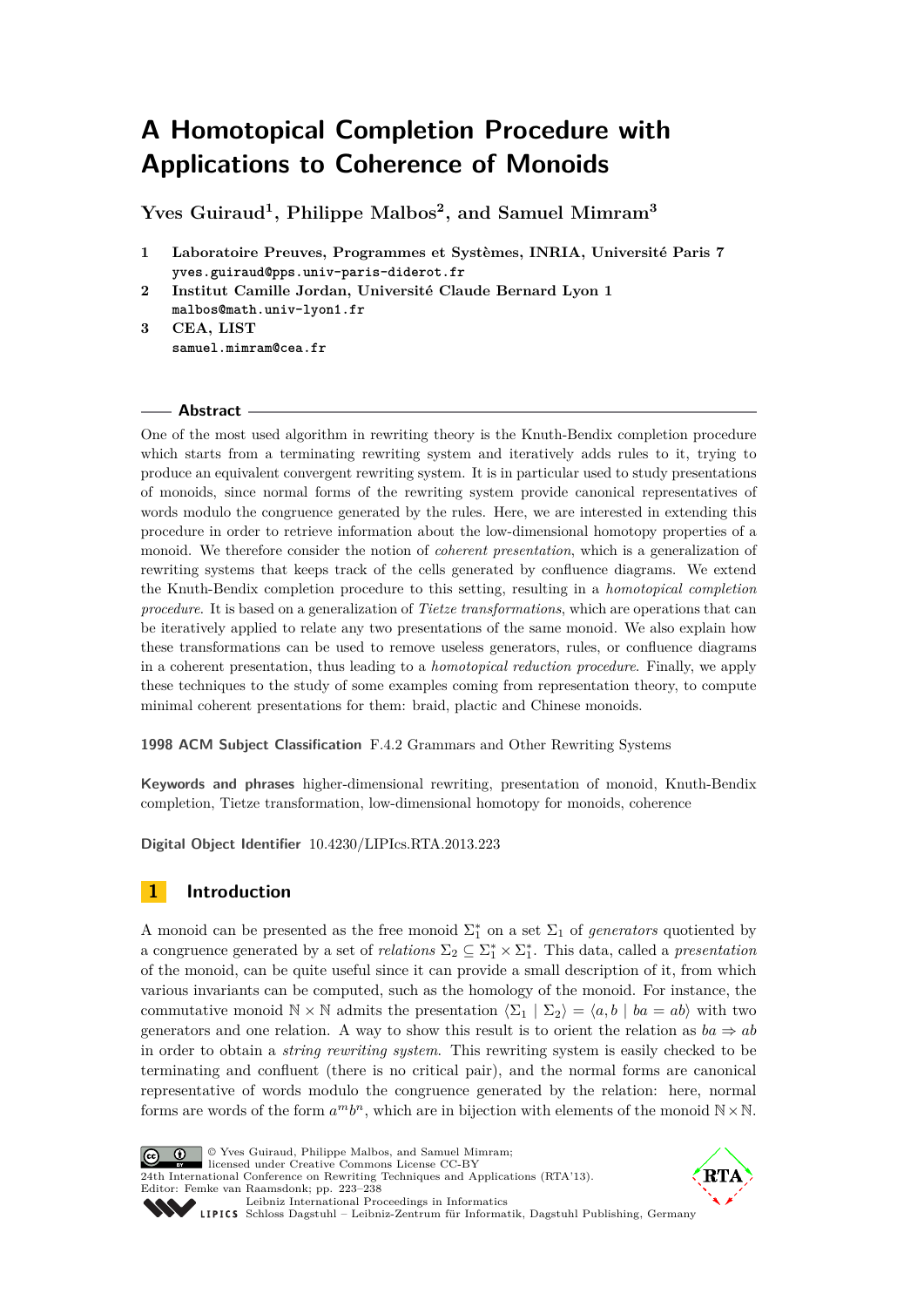# **A Homotopical Completion Procedure with Applications to Coherence of Monoids**

**Yves Guiraud<sup>1</sup> , Philippe Malbos<sup>2</sup> , and Samuel Mimram<sup>3</sup>**

- **1 Laboratoire Preuves, Programmes et Systèmes, INRIA, Université Paris 7 [yves.guiraud@pps.univ-paris-diderot.fr](mailto:yves.guiraud@pps.univ-paris-diderot.fr)**
- **2 Institut Camille Jordan, Université Claude Bernard Lyon 1 [malbos@math.univ-lyon1.fr](mailto:malbos@math.univ-lyon1.fr)**
- **3 CEA, LIST [samuel.mimram@cea.fr](mailto:samuel.mimram@cea.fr)**

#### **Abstract**

One of the most used algorithm in rewriting theory is the Knuth-Bendix completion procedure which starts from a terminating rewriting system and iteratively adds rules to it, trying to produce an equivalent convergent rewriting system. It is in particular used to study presentations of monoids, since normal forms of the rewriting system provide canonical representatives of words modulo the congruence generated by the rules. Here, we are interested in extending this procedure in order to retrieve information about the low-dimensional homotopy properties of a monoid. We therefore consider the notion of *coherent presentation*, which is a generalization of rewriting systems that keeps track of the cells generated by confluence diagrams. We extend the Knuth-Bendix completion procedure to this setting, resulting in a *homotopical completion procedure*. It is based on a generalization of *Tietze transformations*, which are operations that can be iteratively applied to relate any two presentations of the same monoid. We also explain how these transformations can be used to remove useless generators, rules, or confluence diagrams in a coherent presentation, thus leading to a *homotopical reduction procedure*. Finally, we apply these techniques to the study of some examples coming from representation theory, to compute minimal coherent presentations for them: braid, plactic and Chinese monoids.

**1998 ACM Subject Classification** F.4.2 Grammars and Other Rewriting Systems

**Keywords and phrases** higher-dimensional rewriting, presentation of monoid, Knuth-Bendix completion, Tietze transformation, low-dimensional homotopy for monoids, coherence

**Digital Object Identifier** [10.4230/LIPIcs.RTA.2013.223](http://dx.doi.org/10.4230/LIPIcs.RTA.2013.223)

# **1 Introduction**

A monoid can be presented as the free monoid  $\Sigma_1^*$  on a set  $\Sigma_1$  of *generators* quotiented by a congruence generated by a set of *relations*  $\Sigma_2 \subseteq \Sigma_1^* \times \Sigma_1^*$ . This data, called a *presentation* of the monoid, can be quite useful since it can provide a small description of it, from which various invariants can be computed, such as the homology of the monoid. For instance, the commutative monoid  $\mathbb{N} \times \mathbb{N}$  admits the presentation  $\langle \Sigma_1 | \Sigma_2 \rangle = \langle a, b | ba = ab \rangle$  with two generators and one relation. A way to show this result is to orient the relation as  $ba \Rightarrow ab$ in order to obtain a *string rewriting system*. This rewriting system is easily checked to be terminating and confluent (there is no critical pair), and the normal forms are canonical representative of words modulo the congruence generated by the relation: here, normal forms are words of the form  $a^m b^n$ , which are in bijection with elements of the monoid  $\mathbb{N} \times \mathbb{N}$ .



© Yves Guiraud, Philippe Malbos, and Samuel Mimram; licensed under Creative Commons License CC-BY [24th International Conference on Rewriting Techniques and Applications \(RTA'13\).](http://www.dagstuhl.de/dagpub/978-3-939897-53-8) Editor: Femke van Raamsdonk; pp. 223[–238](#page-15-0)



[Leibniz International Proceedings in Informatics](http://www.dagstuhl.de/lipics/) Leibniz international Floretungs in miximismos<br>
LIPICS [Schloss Dagstuhl – Leibniz-Zentrum für Informatik, Dagstuhl Publishing, Germany](http://www.dagstuhl.de)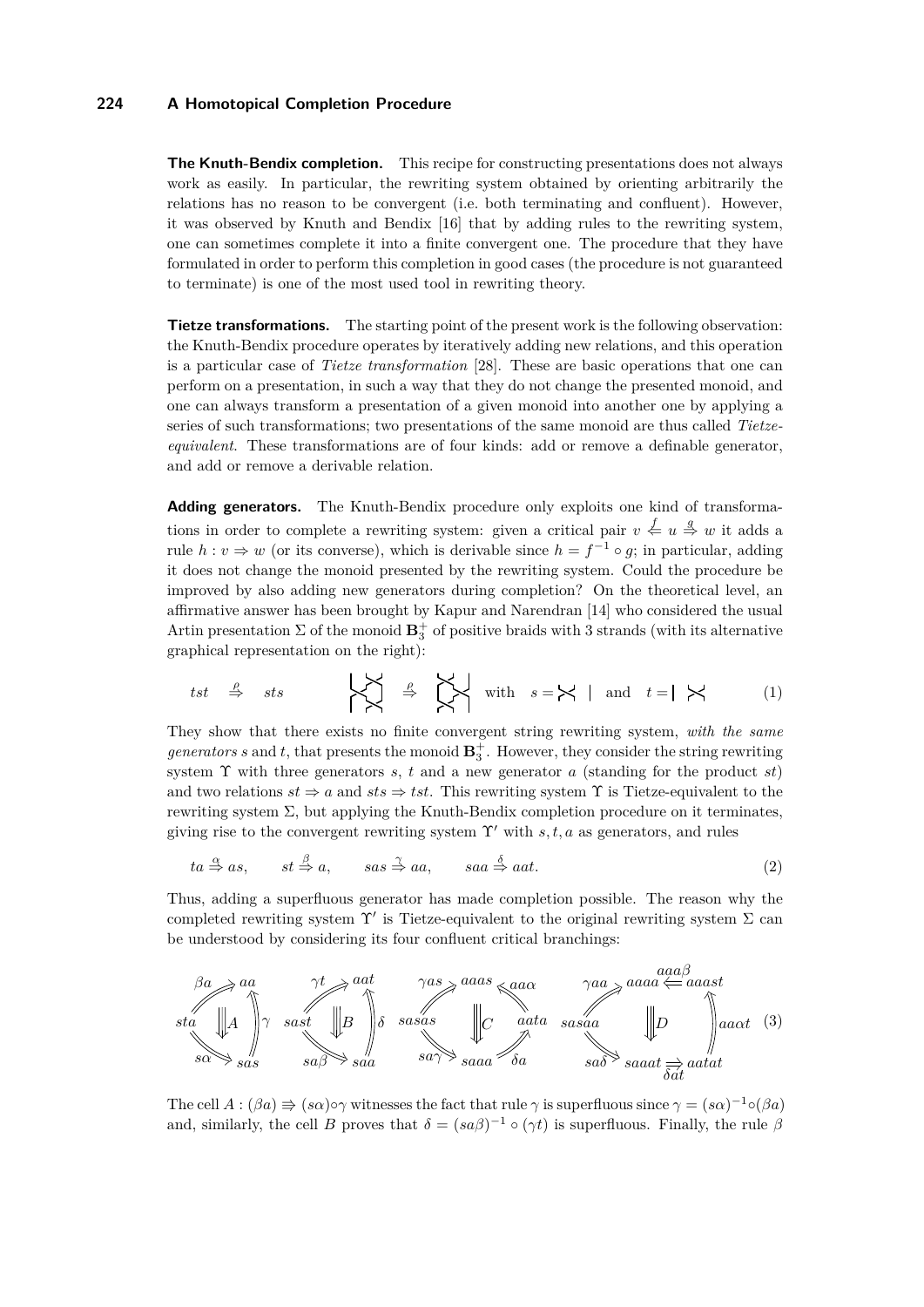**The Knuth-Bendix completion.** This recipe for constructing presentations does not always work as easily. In particular, the rewriting system obtained by orienting arbitrarily the relations has no reason to be convergent (i.e. both terminating and confluent). However, it was observed by Knuth and Bendix [\[16\]](#page-15-1) that by adding rules to the rewriting system, one can sometimes complete it into a finite convergent one. The procedure that they have formulated in order to perform this completion in good cases (the procedure is not guaranteed to terminate) is one of the most used tool in rewriting theory.

**Tietze transformations.** The starting point of the present work is the following observation: the Knuth-Bendix procedure operates by iteratively adding new relations, and this operation is a particular case of *Tietze transformation* [\[28\]](#page-15-2). These are basic operations that one can perform on a presentation, in such a way that they do not change the presented monoid, and one can always transform a presentation of a given monoid into another one by applying a series of such transformations; two presentations of the same monoid are thus called *Tietzeequivalent*. These transformations are of four kinds: add or remove a definable generator, and add or remove a derivable relation.

**Adding generators.** The Knuth-Bendix procedure only exploits one kind of transformations in order to complete a rewriting system: given a critical pair  $v \leq u \stackrel{g}{\Rightarrow} w$  it adds a rule  $h: v \Rightarrow w$  (or its converse), which is derivable since  $h = f^{-1} \circ g$ ; in particular, adding it does not change the monoid presented by the rewriting system. Could the procedure be improved by also adding new generators during completion? On the theoretical level, an affirmative answer has been brought by Kapur and Narendran [\[14\]](#page-15-3) who considered the usual Artin presentation  $\Sigma$  of the monoid  $\mathbf{B}_3^+$  of positive braids with 3 strands (with its alternative graphical representation on the right):

<span id="page-1-0"></span>
$$
tst \quad \stackrel{\rho}{\Rightarrow} \quad sts \qquad \qquad \begin{matrix} \nearrow \\ \nearrow \\ \nearrow \end{matrix} \quad \stackrel{\rho}{\Rightarrow} \quad \begin{matrix} \nearrow \\ \nearrow \\ \nearrow \end{matrix} \quad \text{with} \quad s = \bigtimes \quad \text{and} \quad t = \quad \begin{matrix} \nearrow \\ \nearrow \end{matrix} \tag{1}
$$

They show that there exists no finite convergent string rewriting system, *with the same generators s* and *t*, that presents the monoid  $\mathbf{B}_3^+$ . However, they consider the string rewriting system Υ with three generators *s*, *t* and a new generator *a* (standing for the product *st*) and two relations  $st \Rightarrow a$  and  $sts \Rightarrow tst$ . This rewriting system  $\Upsilon$  is Tietze-equivalent to the rewriting system Σ, but applying the Knuth-Bendix completion procedure on it terminates, giving rise to the convergent rewriting system  $\Upsilon'$  with *s, t, a* as generators, and rules

<span id="page-1-2"></span><span id="page-1-1"></span>
$$
ta \stackrel{\alpha}{\Rightarrow} as, \qquad st \stackrel{\beta}{\Rightarrow} a, \qquad sas \stackrel{\gamma}{\Rightarrow} aa, \qquad saa \stackrel{\delta}{\Rightarrow} aat.
$$
 (2)

Thus, adding a superfluous generator has made completion possible. The reason why the completed rewriting system  $\Upsilon'$  is Tietze-equivalent to the original rewriting system  $\Sigma$  can be understood by considering its four confluent critical branchings:



The cell  $A: (\beta a) \Rightarrow (s\alpha) \circ \gamma$  witnesses the fact that rule  $\gamma$  is superfluous since  $\gamma = (s\alpha)^{-1} \circ (\beta a)$ and, similarly, the cell *B* proves that  $\delta = (sa\beta)^{-1} \circ (\gamma t)$  is superfluous. Finally, the rule  $\beta$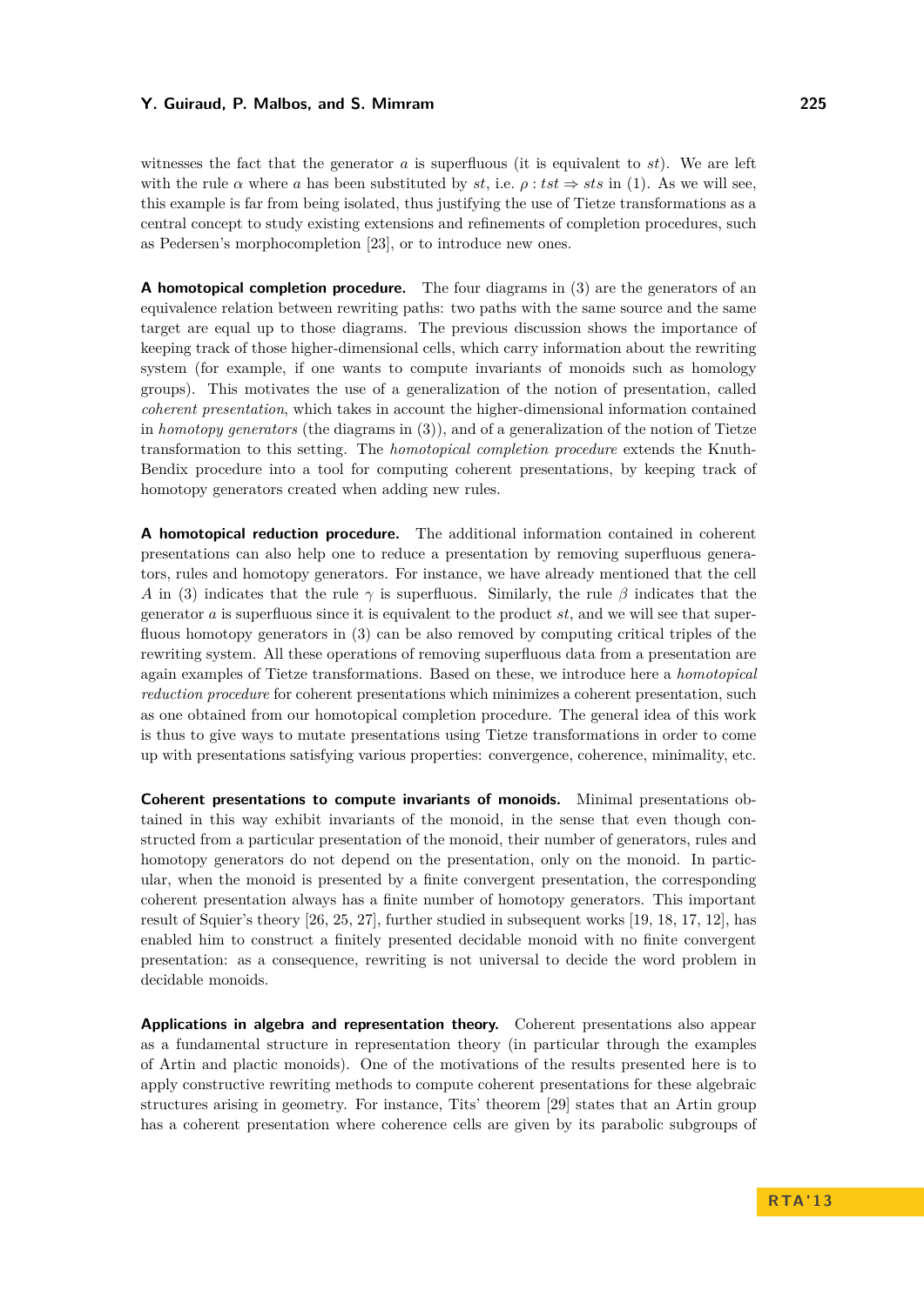witnesses the fact that the generator  $a$  is superfluous (it is equivalent to  $st$ ). We are left with the rule  $\alpha$  where  $a$  has been substituted by  $st$ , i.e.  $\rho: tst \Rightarrow sts$  in [\(1\)](#page-1-0). As we will see, this example is far from being isolated, thus justifying the use of Tietze transformations as a central concept to study existing extensions and refinements of completion procedures, such as Pedersen's morphocompletion [\[23\]](#page-15-4), or to introduce new ones.

**A homotopical completion procedure.** The four diagrams in [\(3\)](#page-1-1) are the generators of an equivalence relation between rewriting paths: two paths with the same source and the same target are equal up to those diagrams. The previous discussion shows the importance of keeping track of those higher-dimensional cells, which carry information about the rewriting system (for example, if one wants to compute invariants of monoids such as homology groups). This motivates the use of a generalization of the notion of presentation, called *coherent presentation*, which takes in account the higher-dimensional information contained in *homotopy generators* (the diagrams in [\(3\)](#page-1-1)), and of a generalization of the notion of Tietze transformation to this setting. The *homotopical completion procedure* extends the Knuth-Bendix procedure into a tool for computing coherent presentations, by keeping track of homotopy generators created when adding new rules.

**A homotopical reduction procedure.** The additional information contained in coherent presentations can also help one to reduce a presentation by removing superfluous generators, rules and homotopy generators. For instance, we have already mentioned that the cell *A* in [\(3\)](#page-1-1) indicates that the rule  $\gamma$  is superfluous. Similarly, the rule  $\beta$  indicates that the generator *a* is superfluous since it is equivalent to the product *st*, and we will see that superfluous homotopy generators in [\(3\)](#page-1-1) can be also removed by computing critical triples of the rewriting system. All these operations of removing superfluous data from a presentation are again examples of Tietze transformations. Based on these, we introduce here a *homotopical reduction procedure* for coherent presentations which minimizes a coherent presentation, such as one obtained from our homotopical completion procedure. The general idea of this work is thus to give ways to mutate presentations using Tietze transformations in order to come up with presentations satisfying various properties: convergence, coherence, minimality, etc.

**Coherent presentations to compute invariants of monoids.** Minimal presentations obtained in this way exhibit invariants of the monoid, in the sense that even though constructed from a particular presentation of the monoid, their number of generators, rules and homotopy generators do not depend on the presentation, only on the monoid. In particular, when the monoid is presented by a finite convergent presentation, the corresponding coherent presentation always has a finite number of homotopy generators. This important result of Squier's theory [\[26,](#page-15-5) [25,](#page-15-6) [27\]](#page-15-7), further studied in subsequent works [\[19,](#page-15-8) [18,](#page-15-9) [17,](#page-15-10) [12\]](#page-14-0), has enabled him to construct a finitely presented decidable monoid with no finite convergent presentation: as a consequence, rewriting is not universal to decide the word problem in decidable monoids.

**Applications in algebra and representation theory.** Coherent presentations also appear as a fundamental structure in representation theory (in particular through the examples of Artin and plactic monoids). One of the motivations of the results presented here is to apply constructive rewriting methods to compute coherent presentations for these algebraic structures arising in geometry. For instance, Tits' theorem [\[29\]](#page-15-11) states that an Artin group has a coherent presentation where coherence cells are given by its parabolic subgroups of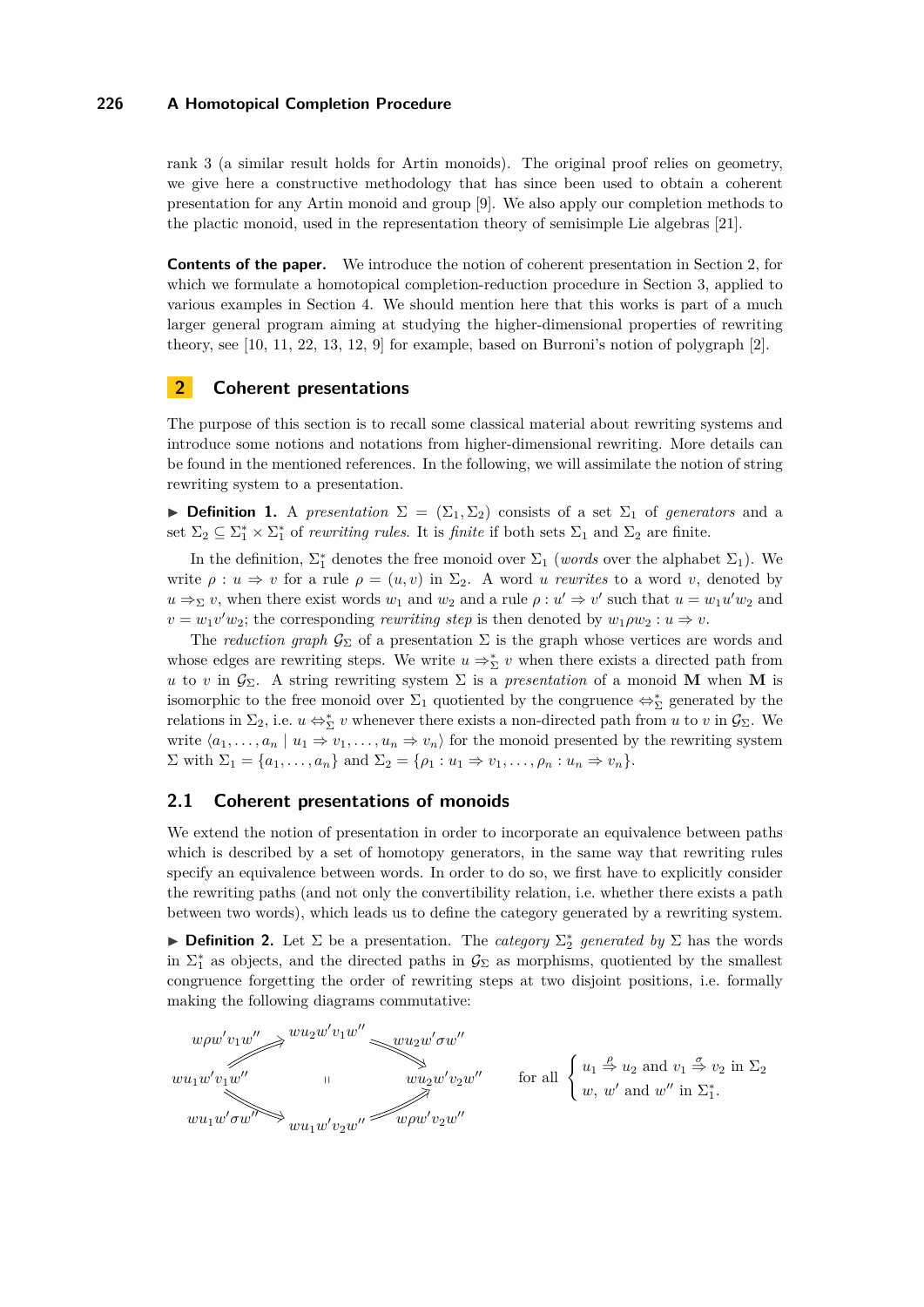rank 3 (a similar result holds for Artin monoids). The original proof relies on geometry, we give here a constructive methodology that has since been used to obtain a coherent presentation for any Artin monoid and group [\[9\]](#page-14-1). We also apply our completion methods to the plactic monoid, used in the representation theory of semisimple Lie algebras [\[21\]](#page-15-12).

**Contents of the paper.** We introduce the notion of coherent presentation in Section [2,](#page-3-0) for which we formulate a homotopical completion-reduction procedure in Section [3,](#page-6-0) applied to various examples in Section [4.](#page-10-0) We should mention here that this works is part of a much larger general program aiming at studying the higher-dimensional properties of rewriting theory, see [\[10,](#page-14-2) [11,](#page-14-3) [22,](#page-15-13) [13,](#page-14-4) [12,](#page-14-0) [9\]](#page-14-1) for example, based on Burroni's notion of polygraph [\[2\]](#page-14-5).

# <span id="page-3-0"></span>**2 Coherent presentations**

The purpose of this section is to recall some classical material about rewriting systems and introduce some notions and notations from higher-dimensional rewriting. More details can be found in the mentioned references. In the following, we will assimilate the notion of string rewriting system to a presentation.

**Definition 1.** A *presentation*  $\Sigma = (\Sigma_1, \Sigma_2)$  consists of a set  $\Sigma_1$  of *generators* and a set  $\Sigma_2 \subseteq \Sigma_1^* \times \Sigma_1^*$  of *rewriting rules*. It is *finite* if both sets  $\Sigma_1$  and  $\Sigma_2$  are finite.

In the definition,  $\Sigma_1^*$  denotes the free monoid over  $\Sigma_1$  (*words* over the alphabet  $\Sigma_1$ ). We write  $\rho : u \Rightarrow v$  for a rule  $\rho = (u, v)$  in  $\Sigma_2$ . A word *u* rewrites to a word *v*, denoted by  $u \Rightarrow \Sigma v$ , when there exist words  $w_1$  and  $w_2$  and a rule  $\rho : u' \Rightarrow v'$  such that  $u = w_1 u' w_2$  and  $v = w_1 v' w_2$ ; the corresponding *rewriting step* is then denoted by  $w_1 \rho w_2 : u \Rightarrow v$ .

The *reduction graph*  $\mathcal{G}_{\Sigma}$  of a presentation  $\Sigma$  is the graph whose vertices are words and whose edges are rewriting steps. We write  $u \Rightarrow_{\Sigma}^{*} v$  when there exists a directed path from *u* to *v* in  $\mathcal{G}_{\Sigma}$ . A string rewriting system  $\Sigma$  is a *presentation* of a monoid **M** when **M** is isomorphic to the free monoid over  $\Sigma_1$  quotiented by the congruence  $\Leftrightarrow^*_{\Sigma}$  generated by the relations in  $\Sigma_2$ , i.e.  $u \Leftrightarrow_{\Sigma}^* v$  whenever there exists a non-directed path from *u* to *v* in  $\mathcal{G}_{\Sigma}$ . We write  $\langle a_1, \ldots, a_n | u_1 \Rightarrow v_1, \ldots, u_n \Rightarrow v_n \rangle$  for the monoid presented by the rewriting system  $\Sigma$  with  $\Sigma_1 = \{a_1, \ldots, a_n\}$  and  $\Sigma_2 = \{\rho_1 : u_1 \Rightarrow v_1, \ldots, \rho_n : u_n \Rightarrow v_n\}.$ 

## **2.1 Coherent presentations of monoids**

We extend the notion of presentation in order to incorporate an equivalence between paths which is described by a set of homotopy generators, in the same way that rewriting rules specify an equivalence between words. In order to do so, we first have to explicitly consider the rewriting paths (and not only the convertibility relation, i.e. whether there exists a path between two words), which leads us to define the category generated by a rewriting system.

**Definition 2.** Let  $\Sigma$  be a presentation. The *category*  $\Sigma_2^*$  generated by  $\Sigma$  has the words in  $\Sigma_1^*$  as objects, and the directed paths in  $\mathcal{G}_{\Sigma}$  as morphisms, quotiented by the smallest congruence forgetting the order of rewriting steps at two disjoint positions, i.e. formally making the following diagrams commutative:

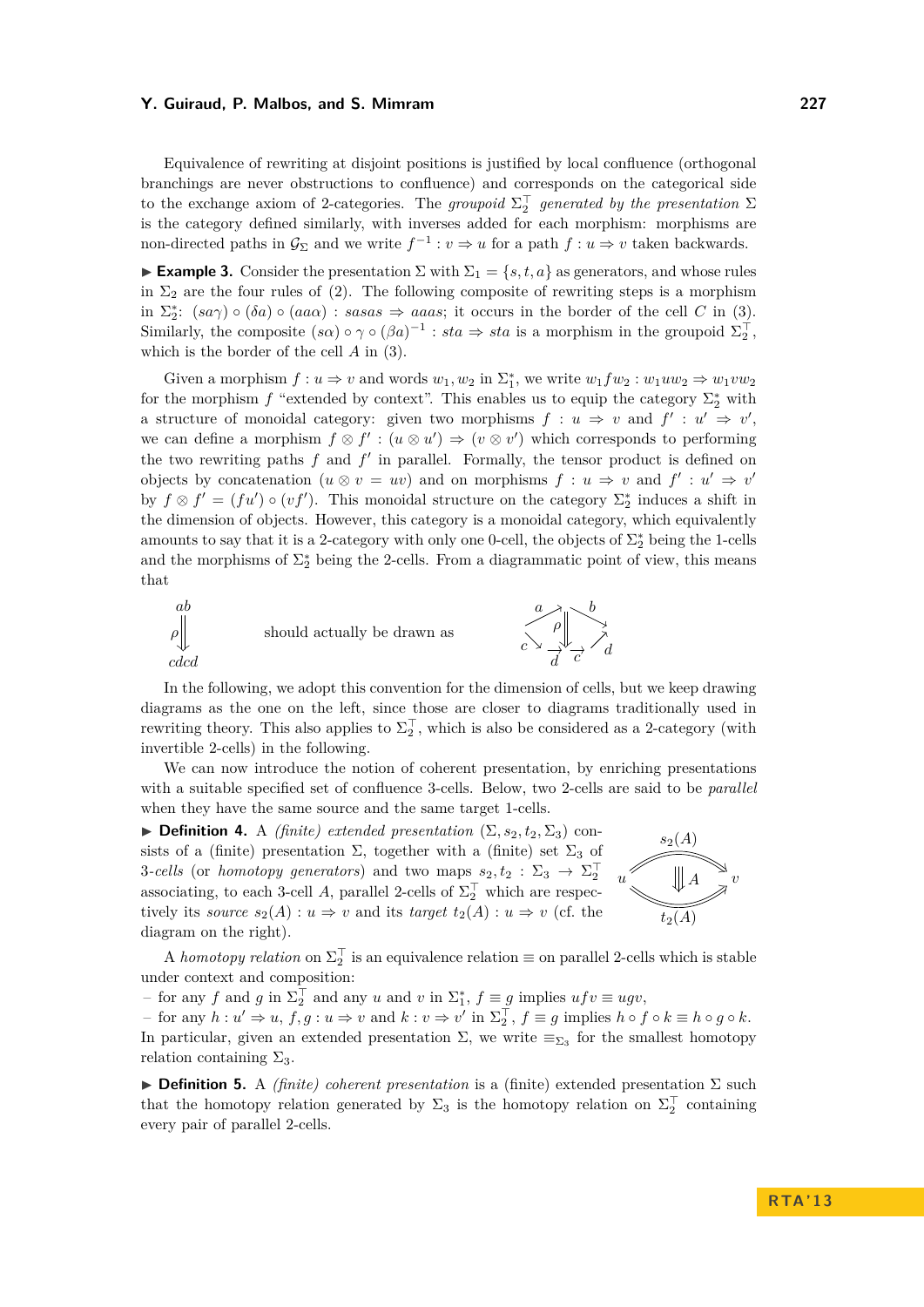Equivalence of rewriting at disjoint positions is justified by local confluence (orthogonal branchings are never obstructions to confluence) and corresponds on the categorical side to the exchange axiom of 2-categories. The *groupoid*  $\Sigma_2^{\top}$  *generated by the presentation*  $\Sigma$ is the category defined similarly, with inverses added for each morphism: morphisms are non-directed paths in  $\mathcal{G}_{\Sigma}$  and we write  $f^{-1}: v \Rightarrow u$  for a path  $f: u \Rightarrow v$  taken backwards.

<span id="page-4-0"></span>**Example 3.** Consider the presentation  $\Sigma$  with  $\Sigma_1 = \{s, t, a\}$  as generators, and whose rules in  $\Sigma_2$  are the four rules of [\(2\)](#page-1-2). The following composite of rewriting steps is a morphism in  $\Sigma_2^*$ :  $(sa\gamma) \circ (\delta a) \circ (aaa)$ :  $sasas \Rightarrow aaas$ ; it occurs in the border of the cell *C* in [\(3\)](#page-1-1). Similarly, the composite  $(s\alpha) \circ \gamma \circ (\beta a)^{-1}$ :  $sta \Rightarrow sta$  is a morphism in the groupoid  $\Sigma_2^{\top}$ , which is the border of the cell *A* in [\(3\)](#page-1-1).

Given a morphism  $f: u \Rightarrow v$  and words  $w_1, w_2$  in  $\Sigma_1^*$ , we write  $w_1 f w_2 : w_1 u w_2 \Rightarrow w_1 v w_2$ for the morphism  $f$  "extended by context". This enables us to equip the category  $\Sigma_2^*$  with a structure of monoidal category: given two morphisms  $f: u \Rightarrow v$  and  $f': u' \Rightarrow v'$ , we can define a morphism  $f \otimes f' : (u \otimes u') \Rightarrow (v \otimes v')$  which corresponds to performing the two rewriting paths  $f$  and  $f'$  in parallel. Formally, the tensor product is defined on objects by concatenation  $(u \otimes v = uv)$  and on morphisms  $f : u \Rightarrow v$  and  $f' : u' \Rightarrow v'$ by  $f \otimes f' = (fu') \circ (vf')$ . This monoidal structure on the category  $\Sigma_2^*$  induces a shift in the dimension of objects. However, this category is a monoidal category, which equivalently amounts to say that it is a 2-category with only one 0-cell, the objects of  $\Sigma_2^*$  being the 1-cells and the morphisms of  $\Sigma_2^*$  being the 2-cells. From a diagrammatic point of view, this means that



In the following, we adopt this convention for the dimension of cells, but we keep drawing diagrams as the one on the left, since those are closer to diagrams traditionally used in rewriting theory. This also applies to  $\Sigma_2^{\top}$ , which is also be considered as a 2-category (with invertible 2-cells) in the following.

We can now introduce the notion of coherent presentation, by enriching presentations with a suitable specified set of confluence 3-cells. Below, two 2-cells are said to be *parallel* when they have the same source and the same target 1-cells.

 $\triangleright$  **Definition 4.** A *(finite) extended presentation*  $(\Sigma, s_2, t_2, \Sigma_3)$  consists of a (finite) presentation  $\Sigma$ , together with a (finite) set  $\Sigma_3$  of 3-cells (or *homotopy generators*) and two maps  $s_2, t_2 : \Sigma_3 \to \Sigma_2^{\top}$ associating, to each 3-cell *A*, parallel 2-cells of  $\Sigma_2^{\top}$  which are respectively its *source*  $s_2(A) : u \Rightarrow v$  and its *target*  $t_2(A) : u \Rightarrow v$  (cf. the diagram on the right).



A *homotopy relation* on  $\Sigma_2^{\top}$  is an equivalence relation  $\equiv$  on parallel 2-cells which is stable under context and composition:

 $-$  for any  $f$  and  $g$  in  $\Sigma_2^{\top}$  and any  $u$  and  $v$  in  $\Sigma_1^*$ ,  $f \equiv g$  implies  $ufv \equiv ugv$ ,

 $h: u' \Rightarrow u, f, g: u \Rightarrow v$  and  $k: v \Rightarrow v'$  in  $\Sigma_2^T$ ,  $f \equiv g$  implies  $h \circ f \circ k \equiv h \circ g \circ k$ . In particular, given an extended presentation  $\Sigma$ , we write  $\equiv_{\Sigma_3}$  for the smallest homotopy relation containing  $\Sigma_3$ .

I **Definition 5.** A *(finite) coherent presentation* is a (finite) extended presentation Σ such that the homotopy relation generated by  $\Sigma_3$  is the homotopy relation on  $\Sigma_2^{\top}$  containing every pair of parallel 2-cells.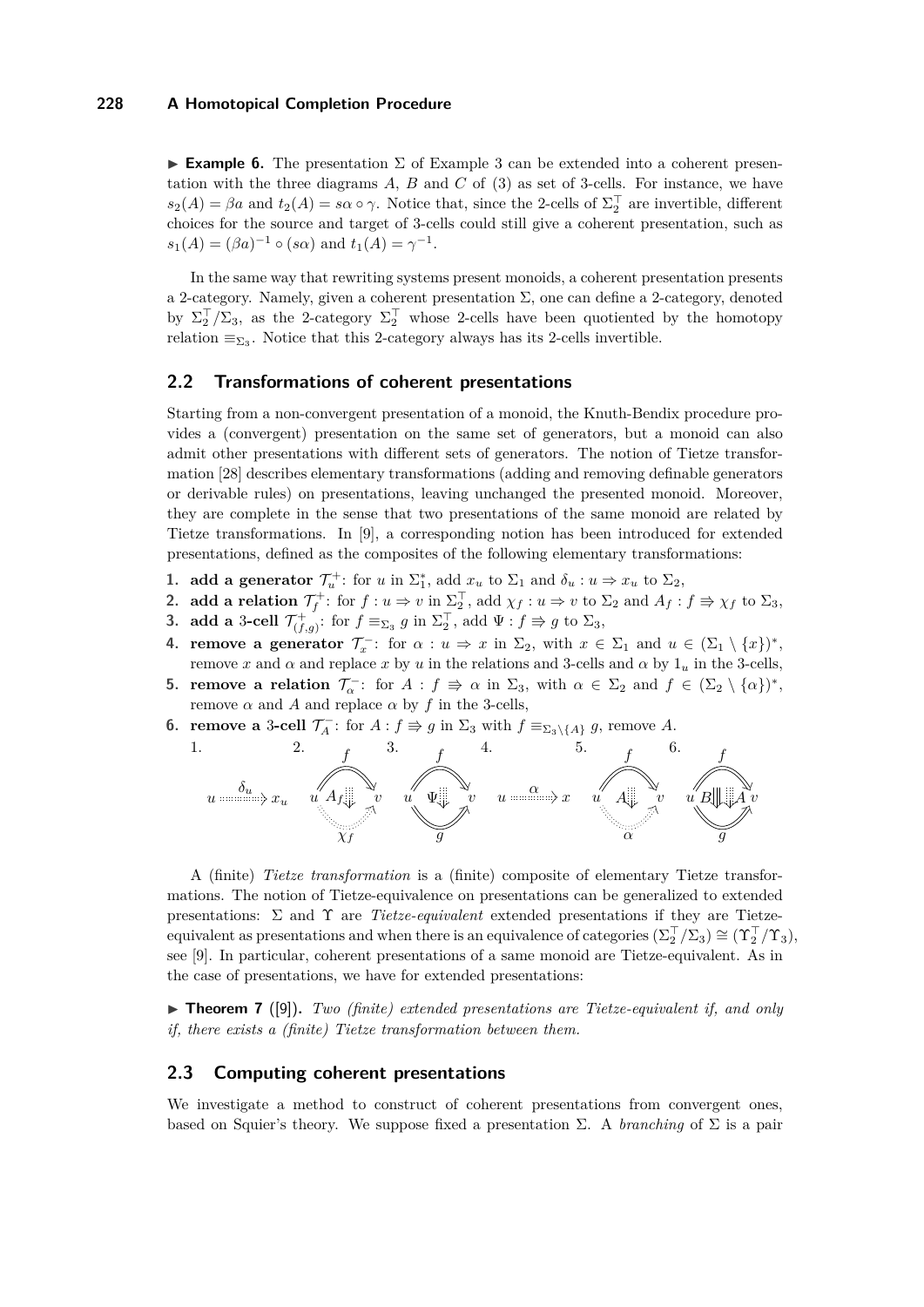**Example 6.** The presentation  $\Sigma$  of Example [3](#page-4-0) can be extended into a coherent presentation with the three diagrams *A*, *B* and *C* of [\(3\)](#page-1-1) as set of 3-cells. For instance, we have  $s_2(A) = \beta a$  and  $t_2(A) = s\alpha \circ \gamma$ . Notice that, since the 2-cells of  $\Sigma_2^{\top}$  are invertible, different choices for the source and target of 3-cells could still give a coherent presentation, such as  $s_1(A) = (\beta a)^{-1} \circ (s\alpha)$  and  $t_1(A) = \gamma^{-1}$ .

In the same way that rewriting systems present monoids, a coherent presentation presents a 2-category. Namely, given a coherent presentation  $\Sigma$ , one can define a 2-category, denoted by  $\Sigma_2^{\top}/\Sigma_3$ , as the 2-category  $\Sigma_2^{\top}$  whose 2-cells have been quotiented by the homotopy relation  $\equiv_{\Sigma_3}$ . Notice that this 2-category always has its 2-cells invertible.

### **2.2 Transformations of coherent presentations**

Starting from a non-convergent presentation of a monoid, the Knuth-Bendix procedure provides a (convergent) presentation on the same set of generators, but a monoid can also admit other presentations with different sets of generators. The notion of Tietze transformation [\[28\]](#page-15-2) describes elementary transformations (adding and removing definable generators or derivable rules) on presentations, leaving unchanged the presented monoid. Moreover, they are complete in the sense that two presentations of the same monoid are related by Tietze transformations. In [\[9\]](#page-14-1), a corresponding notion has been introduced for extended presentations, defined as the composites of the following elementary transformations:

- **1. add a generator**  $\mathcal{T}_u^+$ : for *u* in  $\Sigma_1^*$ , add  $x_u$  to  $\Sigma_1$  and  $\delta_u : u \Rightarrow x_u$  to  $\Sigma_2$ ,
- **2. add a relation**  $\mathcal{T}_f^+$ : for  $f: u \Rightarrow v$  in  $\Sigma_2^{\top}$ , add  $\chi_f: u \Rightarrow v$  to  $\Sigma_2$  and  $A_f: f \Rightarrow \chi_f$  to  $\Sigma_3$ ,
- **3. add a** 3-cell  $\mathcal{T}_{(f,g)}^+$ : for  $f \equiv_{\Sigma_3} g$  in  $\Sigma_2^{\top}$ , add  $\Psi : f \Rightarrow g$  to  $\Sigma_3$ ,
- **4. remove a generator**  $\mathcal{T}_x^-$ **: for**  $\alpha : u \Rightarrow x$  **in**  $\Sigma_2$ **, with**  $x \in \Sigma_1$  **and**  $u \in (\Sigma_1 \setminus \{x\})^*$ **,** remove *x* and *α* and replace *x* by *u* in the relations and 3-cells and *α* by 1*<sup>u</sup>* in the 3-cells,
- **5. remove a relation**  $\mathcal{T}_{\alpha}^-$ : for  $A : f \Rightarrow \alpha$  in  $\Sigma_3$ , with  $\alpha \in \Sigma_2$  and  $f \in (\Sigma_2 \setminus {\{\alpha\}})^*$ , remove *α* and *A* and replace *α* by *f* in the 3-cells,
- **6. remove a** 3-cell  $\mathcal{T}_A^-$ : for  $A: f \Rightarrow g$  in  $\Sigma_3$  with  $f \equiv_{\Sigma_3 \setminus \{A\}} g$ , remove A.



A (finite) *Tietze transformation* is a (finite) composite of elementary Tietze transformations. The notion of Tietze-equivalence on presentations can be generalized to extended presentations: Σ and Υ are *Tietze-equivalent* extended presentations if they are Tietzeequivalent as presentations and when there is an equivalence of categories  $(\Sigma_2^{\top}/\Sigma_3) \cong (\Upsilon_2^{\top}/\Upsilon_3)$ , see [\[9\]](#page-14-1). In particular, coherent presentations of a same monoid are Tietze-equivalent. As in the case of presentations, we have for extended presentations:

▶ **Theorem 7** ([\[9\]](#page-14-1)). *Two (finite) extended presentations are Tietze-equivalent if, and only if, there exists a (finite) Tietze transformation between them.*

#### <span id="page-5-0"></span>**2.3 Computing coherent presentations**

We investigate a method to construct of coherent presentations from convergent ones, based on Squier's theory. We suppose fixed a presentation  $\Sigma$ . A *branching* of  $\Sigma$  is a pair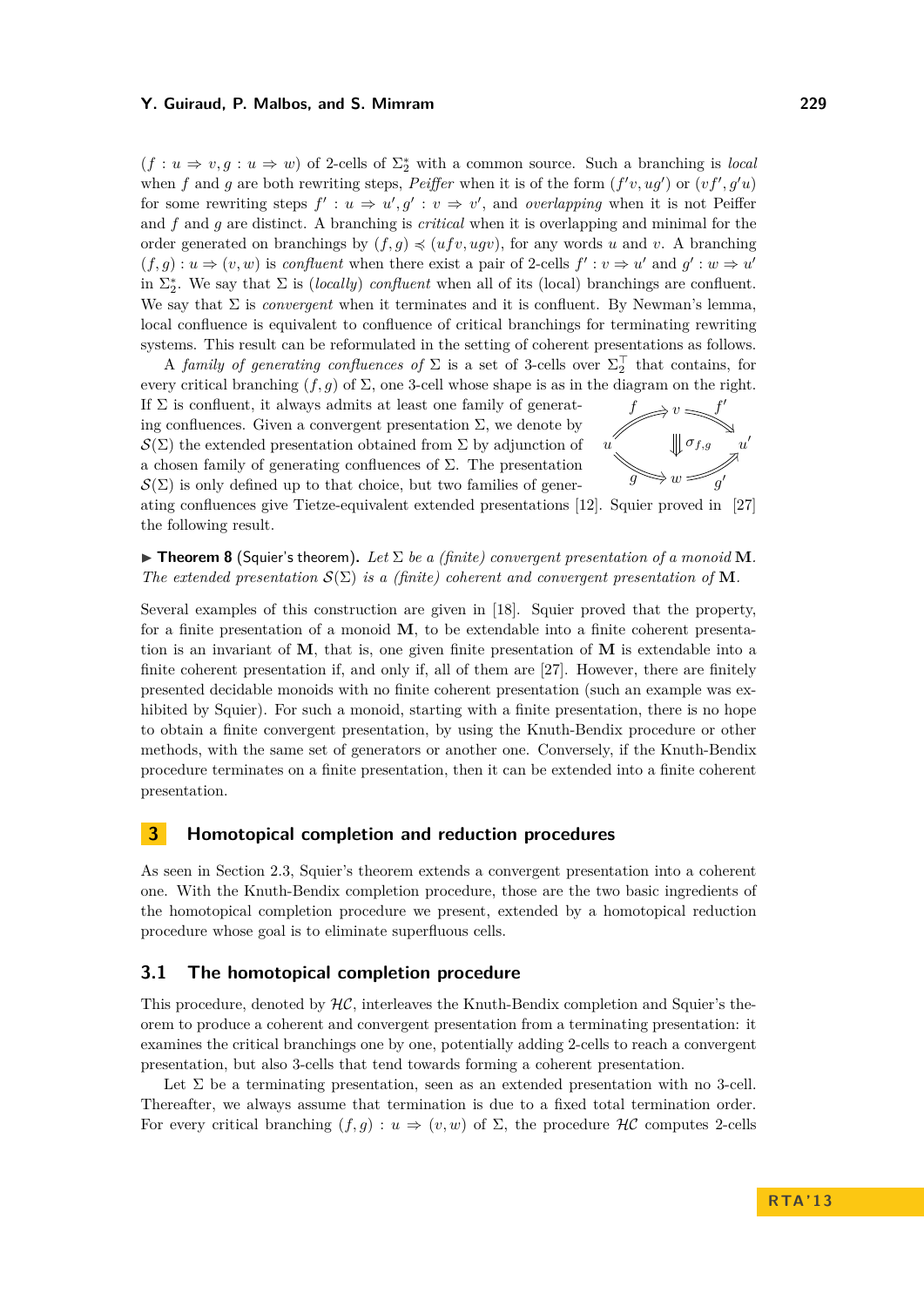$(f: u \Rightarrow v, g: u \Rightarrow w)$  of 2-cells of  $\Sigma_2^*$  with a common source. Such a branching is *local* when *f* and *g* are both rewriting steps, *Peiffer* when it is of the form  $(f'v, ug')$  or  $(vf', g'u)$ for some rewriting steps  $f' : u \Rightarrow u', g' : v \Rightarrow v'$ , and *overlapping* when it is not Peiffer and *f* and *g* are distinct. A branching is *critical* when it is overlapping and minimal for the order generated on branchings by  $(f, g) \preccurlyeq (u f v, u g v)$ , for any words *u* and *v*. A branching  $(f, g) : u \Rightarrow (v, w)$  is *confluent* when there exist a pair of 2-cells  $f' : v \Rightarrow u'$  and  $g' : w \Rightarrow u'$ in  $\Sigma_2^*$ . We say that  $\Sigma$  is *(locally) confluent* when all of its *(local) branchings are confluent.* We say that  $\Sigma$  is *convergent* when it terminates and it is confluent. By Newman's lemma, local confluence is equivalent to confluence of critical branchings for terminating rewriting systems. This result can be reformulated in the setting of coherent presentations as follows.

A *family of generating confluences of*  $\Sigma$  is a set of 3-cells over  $\Sigma_2^{\top}$  that contains, for every critical branching  $(f, g)$  of  $\Sigma$ , one 3-cell whose shape is as in the diagram on the right.

If  $\Sigma$  is confluent, it always admits at least one family of generating confluences. Given a convergent presentation  $\Sigma$ , we denote by  $\mathcal{S}(\Sigma)$  the extended presentation obtained from  $\Sigma$  by adjunction of a chosen family of generating confluences of Σ. The presentation  $\mathcal{S}(\Sigma)$  is only defined up to that choice, but two families of gener-



ating confluences give Tietze-equivalent extended presentations [\[12\]](#page-14-0). Squier proved in [\[27\]](#page-15-7) the following result.

 $\triangleright$  **Theorem 8** (Squier's theorem). Let  $\Sigma$  be a (finite) convergent presentation of a monoid **M**. *The extended presentation*  $S(\Sigma)$  *is a (finite) coherent and convergent presentation of* **M***.* 

Several examples of this construction are given in [\[18\]](#page-15-9). Squier proved that the property, for a finite presentation of a monoid **M**, to be extendable into a finite coherent presentation is an invariant of **M**, that is, one given finite presentation of **M** is extendable into a finite coherent presentation if, and only if, all of them are [\[27\]](#page-15-7). However, there are finitely presented decidable monoids with no finite coherent presentation (such an example was exhibited by Squier). For such a monoid, starting with a finite presentation, there is no hope to obtain a finite convergent presentation, by using the Knuth-Bendix procedure or other methods, with the same set of generators or another one. Conversely, if the Knuth-Bendix procedure terminates on a finite presentation, then it can be extended into a finite coherent presentation.

## <span id="page-6-0"></span>**3 Homotopical completion and reduction procedures**

As seen in Section [2.3,](#page-5-0) Squier's theorem extends a convergent presentation into a coherent one. With the Knuth-Bendix completion procedure, those are the two basic ingredients of the homotopical completion procedure we present, extended by a homotopical reduction procedure whose goal is to eliminate superfluous cells.

### **3.1 The homotopical completion procedure**

This procedure, denoted by  $H\mathcal{C}$ , interleaves the Knuth-Bendix completion and Squier's theorem to produce a coherent and convergent presentation from a terminating presentation: it examines the critical branchings one by one, potentially adding 2-cells to reach a convergent presentation, but also 3-cells that tend towards forming a coherent presentation.

Let  $\Sigma$  be a terminating presentation, seen as an extended presentation with no 3-cell. Thereafter, we always assume that termination is due to a fixed total termination order. For every critical branching  $(f,g) : u \Rightarrow (v,w)$  of  $\Sigma$ , the procedure HC computes 2-cells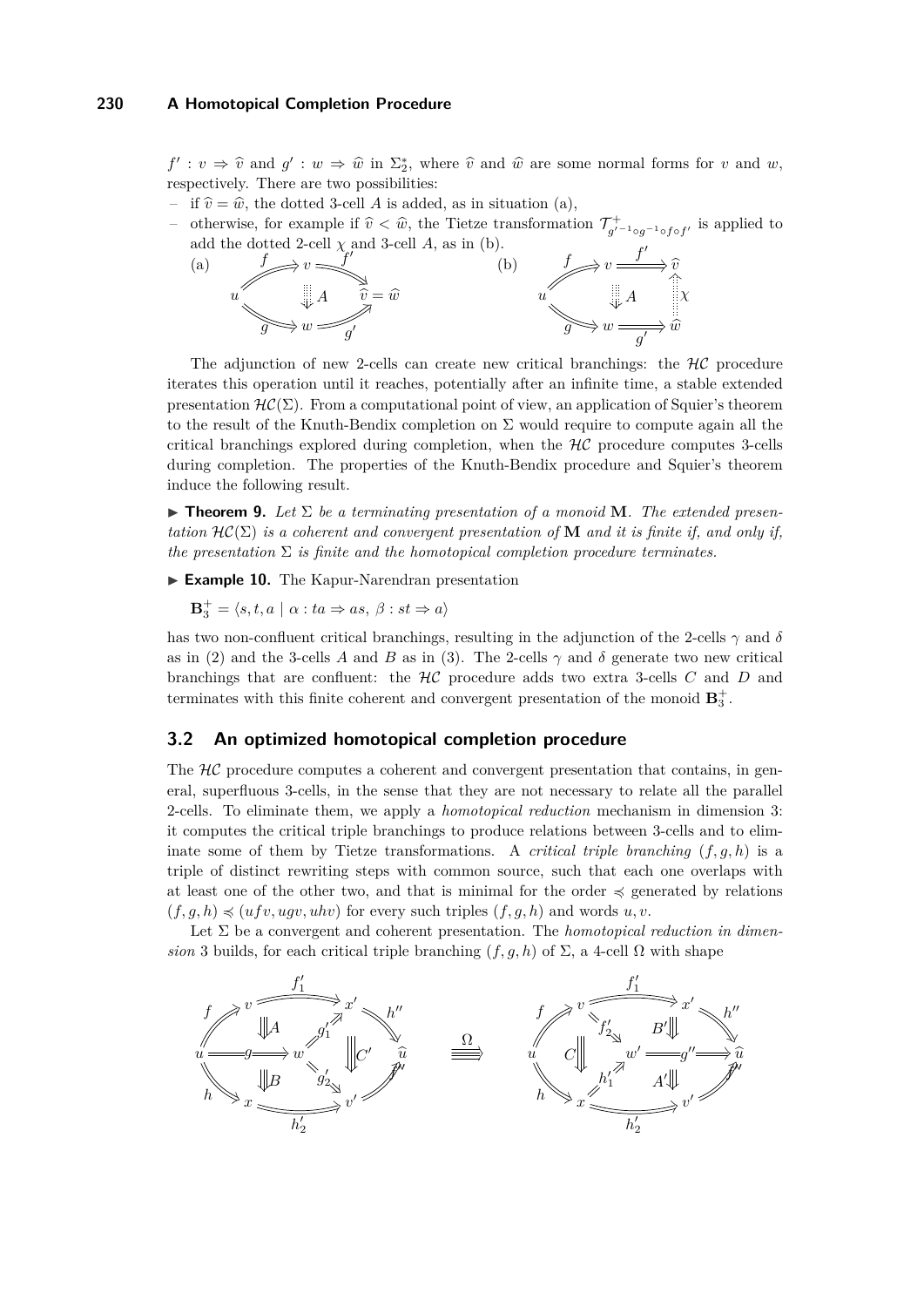$f' : v \Rightarrow \hat{v}$  and  $g' : w \Rightarrow \hat{w}$  in  $\Sigma_2^*$ , where  $\hat{v}$  and  $\hat{w}$  are some normal forms for *v* and *w*, respectively. There are two possibilities:

- if  $\hat{v} = \hat{w}$ , the dotted 3-cell *A* is added, as in situation (a),
- otherwise, for example if  $\hat{v} < \hat{w}$ , the Tietze transformation  $\mathcal{T}^+_{g'}$  $\bar{g}^{\prime -1}$ <sub>○</sub> $g^{-1}$ ∘*f*∘*f*' is applied to add the dotted 2-cell  $\chi$  and 3-cell  $A$ , as in (b).



The adjunction of new 2-cells can create new critical branchings: the  $H\mathcal{C}$  procedure iterates this operation until it reaches, potentially after an infinite time, a stable extended presentation  $\mathcal{HC}(\Sigma)$ . From a computational point of view, an application of Squier's theorem to the result of the Knuth-Bendix completion on  $\Sigma$  would require to compute again all the critical branchings explored during completion, when the  $H\mathcal{C}$  procedure computes 3-cells during completion. The properties of the Knuth-Bendix procedure and Squier's theorem induce the following result.

 $\triangleright$  **Theorem 9.** Let  $\Sigma$  be a terminating presentation of a monoid **M**. The extended presen*tation*  $\mathcal{HC}(\Sigma)$  *is a coherent and convergent presentation of* **M** *and it is finite if, and only if, the presentation*  $\Sigma$  *is finite and the homotopical completion procedure terminates.* 

► **Example 10.** The Kapur-Narendran presentation

 $\mathbf{B}_3^+ = \langle s, t, a \mid \alpha : ta \Rightarrow as, \beta : st \Rightarrow a \rangle$ 

has two non-confluent critical branchings, resulting in the adjunction of the 2-cells  $\gamma$  and  $\delta$ as in [\(2\)](#page-1-2) and the 3-cells *A* and *B* as in [\(3\)](#page-1-1). The 2-cells  $\gamma$  and  $\delta$  generate two new critical branchings that are confluent: the HC procedure adds two extra 3-cells *C* and *D* and terminates with this finite coherent and convergent presentation of the monoid  $\mathbf{B}_3^+$ .

# **3.2 An optimized homotopical completion procedure**

The  $H\mathcal{C}$  procedure computes a coherent and convergent presentation that contains, in general, superfluous 3-cells, in the sense that they are not necessary to relate all the parallel 2-cells. To eliminate them, we apply a *homotopical reduction* mechanism in dimension 3: it computes the critical triple branchings to produce relations between 3-cells and to eliminate some of them by Tietze transformations. A *critical triple branching* (*f, g, h*) is a triple of distinct rewriting steps with common source, such that each one overlaps with at least one of the other two, and that is minimal for the order  $\preccurlyeq$  generated by relations  $(f, g, h) \preccurlyeq (ufv, ugv, uhv)$  for every such triples  $(f, g, h)$  and words  $u, v$ .

Let  $\Sigma$  be a convergent and coherent presentation. The *homotopical reduction in dimension* 3 builds, for each critical triple branching  $(f, g, h)$  of  $\Sigma$ , a 4-cell  $\Omega$  with shape

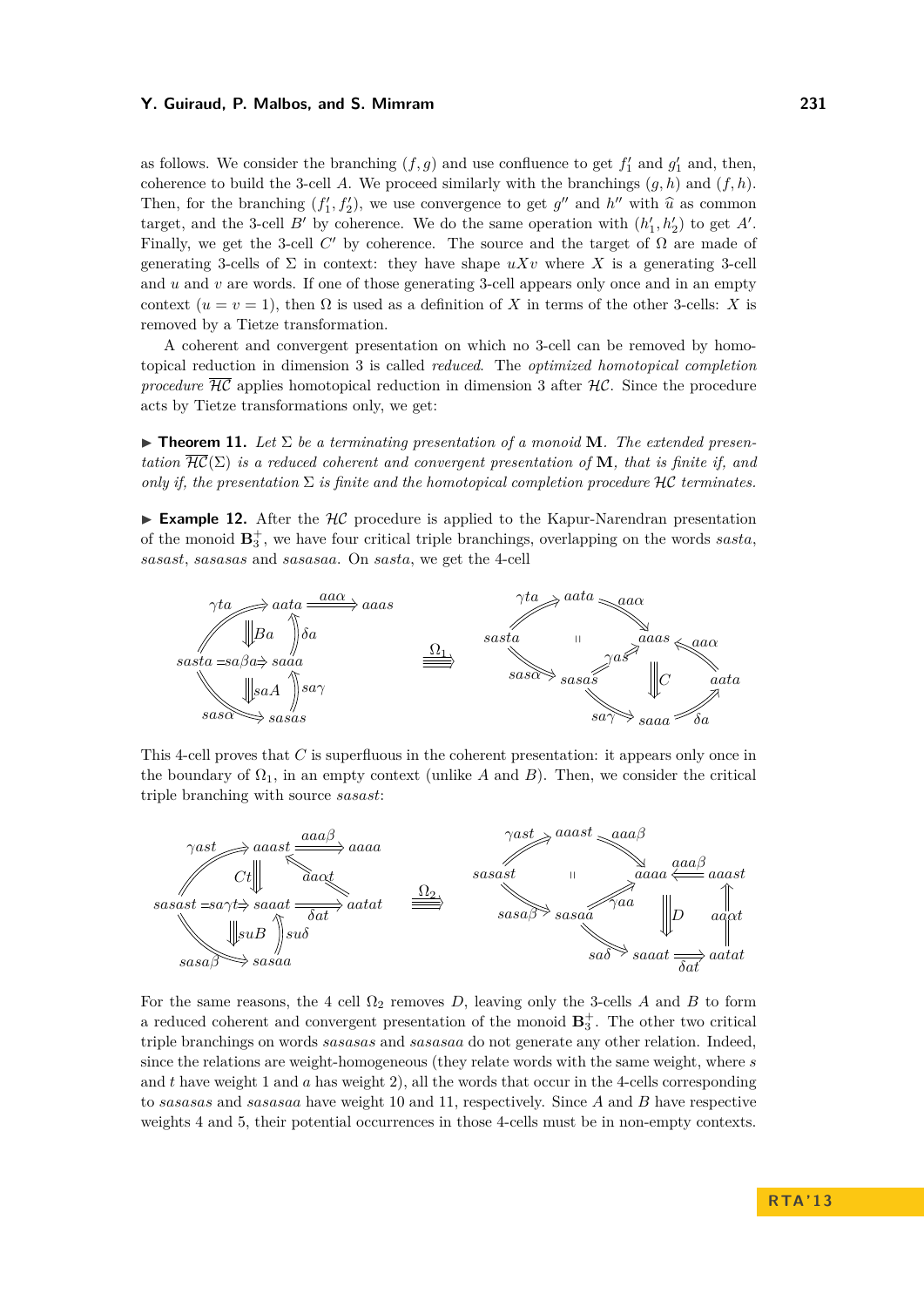as follows. We consider the branching  $(f, g)$  and use confluence to get  $f'_1$  and  $g'_1$  and, then, coherence to build the 3-cell *A*. We proceed similarly with the branchings  $(g, h)$  and  $(f, h)$ . Then, for the branching  $(f'_1, f'_2)$ , we use convergence to get  $g''$  and  $h''$  with  $\hat{u}$  as common<br>tensort and the 2 soll *B*' by schemence. We do the same operation with  $(h', h')$  to get A' target, and the 3-cell *B*<sup> $\prime$ </sup> by coherence. We do the same operation with  $(h'_1, h'_2)$  to get *A*<sup> $\prime$ </sup>. Finally, we get the 3-cell  $C'$  by coherence. The source and the target of  $\Omega$  are made of generating 3-cells of  $\Sigma$  in context: they have shape  $uXv$  where X is a generating 3-cell and *u* and *v* are words. If one of those generating 3-cell appears only once and in an empty context  $(u = v = 1)$ , then  $\Omega$  is used as a definition of X in terms of the other 3-cells: X is removed by a Tietze transformation.

A coherent and convergent presentation on which no 3-cell can be removed by homotopical reduction in dimension 3 is called *reduced*. The *optimized homotopical completion procedure*  $\overline{HC}$  applies homotopical reduction in dimension 3 after  $\mathcal{HC}$ . Since the procedure acts by Tietze transformations only, we get:

 $\triangleright$  **Theorem 11.** Let  $\Sigma$  be a terminating presentation of a monoid **M**. The extended presen*tation*  $\overline{\text{HC}}(\Sigma)$  *is a reduced coherent and convergent presentation of* **M***, that is finite if, and only if, the presentation*  $\Sigma$  *is finite and the homotopical completion procedure*  $\mathcal{HC}$  *terminates.* 

**Example 12.** After the  $H\mathcal{C}$  procedure is applied to the Kapur-Narendran presentation of the monoid  $\mathbf{B}_3^+$ , we have four critical triple branchings, overlapping on the words *sasta*, *sasast*, *sasasas* and *sasasaa*. On *sasta*, we get the 4-cell



This 4-cell proves that *C* is superfluous in the coherent presentation: it appears only once in the boundary of  $\Omega_1$ , in an empty context (unlike *A* and *B*). Then, we consider the critical triple branching with source *sasast*:



For the same reasons, the 4 cell  $\Omega_2$  removes *D*, leaving only the 3-cells *A* and *B* to form a reduced coherent and convergent presentation of the monoid  $\mathbf{B}_3^+$ . The other two critical triple branchings on words *sasasas* and *sasasaa* do not generate any other relation. Indeed, since the relations are weight-homogeneous (they relate words with the same weight, where *s* and *t* have weight 1 and *a* has weight 2), all the words that occur in the 4-cells corresponding to *sasasas* and *sasasaa* have weight 10 and 11, respectively. Since *A* and *B* have respective weights 4 and 5, their potential occurrences in those 4-cells must be in non-empty contexts.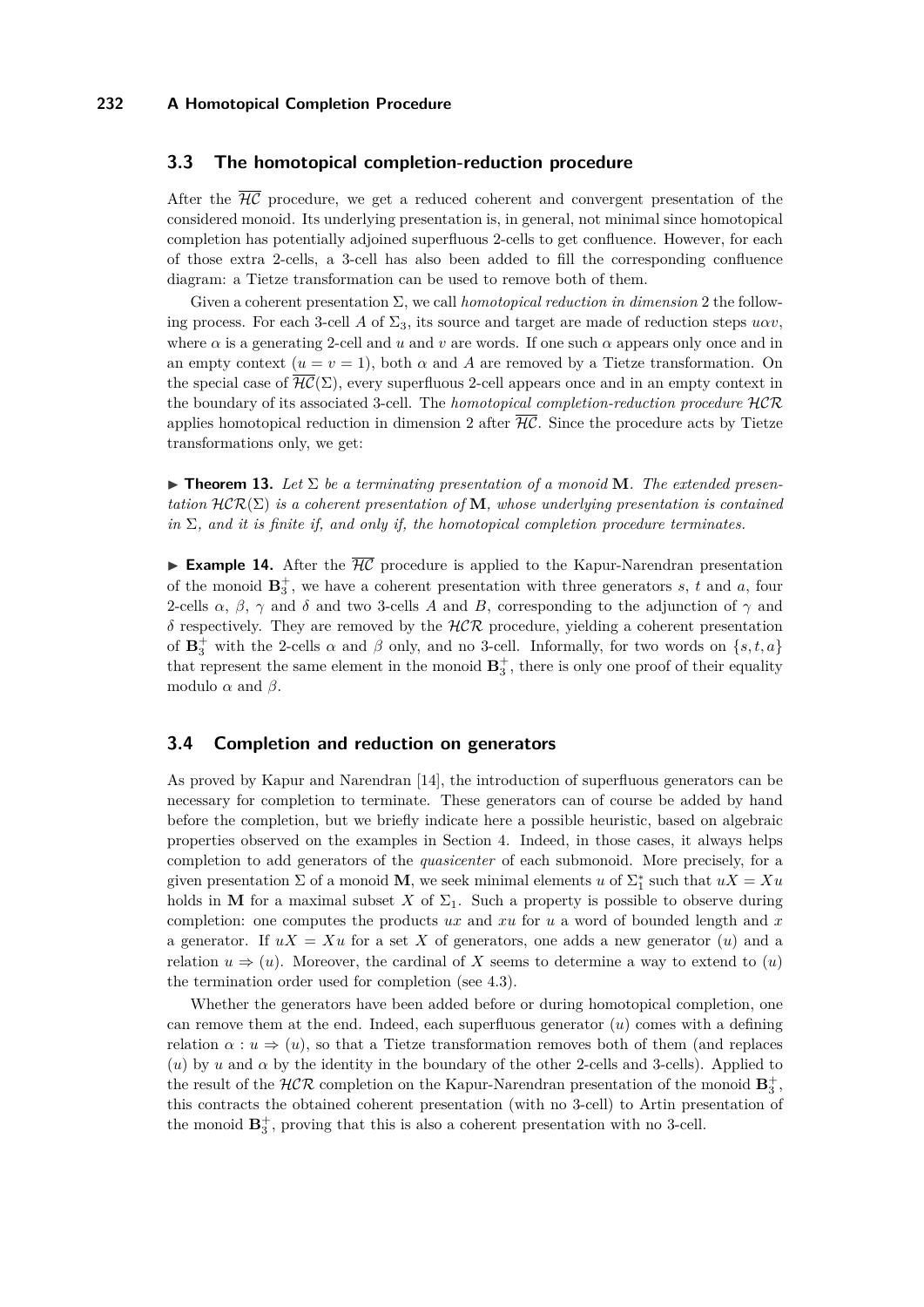## **3.3 The homotopical completion-reduction procedure**

After the  $\overline{H\mathcal{C}}$  procedure, we get a reduced coherent and convergent presentation of the considered monoid. Its underlying presentation is, in general, not minimal since homotopical completion has potentially adjoined superfluous 2-cells to get confluence. However, for each of those extra 2-cells, a 3-cell has also been added to fill the corresponding confluence diagram: a Tietze transformation can be used to remove both of them.

Given a coherent presentation Σ, we call *homotopical reduction in dimension* 2 the following process. For each 3-cell *A* of  $\Sigma_3$ , its source and target are made of reduction steps  $u\alpha v$ , where  $\alpha$  is a generating 2-cell and *u* and *v* are words. If one such  $\alpha$  appears only once and in an empty context  $(u = v = 1)$ , both  $\alpha$  and  $A$  are removed by a Tietze transformation. On the special case of  $\overline{\mathcal{HC}}(\Sigma)$ , every superfluous 2-cell appears once and in an empty context in the boundary of its associated 3-cell. The *homotopical completion-reduction procedure* HCR applies homotopical reduction in dimension 2 after  $\overline{\mathcal{HC}}$ . Since the procedure acts by Tietze transformations only, we get:

 $\triangleright$  **Theorem 13.** Let  $\Sigma$  be a terminating presentation of a monoid **M**. The extended presen*tation*  $\mathcal{HCR}(\Sigma)$  *is a coherent presentation of* **M***, whose underlying presentation is contained in*  $\Sigma$ *, and it is finite if, and only if, the homotopical completion procedure terminates.* 

**Example 14.** After the  $\overline{H\mathcal{C}}$  procedure is applied to the Kapur-Narendran presentation of the monoid  $\mathbf{B}_3^+$ , we have a coherent presentation with three generators *s*, *t* and *a*, four 2-cells  $\alpha$ ,  $\beta$ ,  $\gamma$  and  $\delta$  and two 3-cells *A* and *B*, corresponding to the adjunction of  $\gamma$  and *δ* respectively. They are removed by the HCR procedure, yielding a coherent presentation of  $\mathbf{B}_3^+$  with the 2-cells  $\alpha$  and  $\beta$  only, and no 3-cell. Informally, for two words on  $\{s, t, a\}$ that represent the same element in the monoid  $\mathbf{B}_3^+$ , there is only one proof of their equality modulo  $\alpha$  and  $\beta$ .

# **3.4 Completion and reduction on generators**

As proved by Kapur and Narendran [\[14\]](#page-15-3), the introduction of superfluous generators can be necessary for completion to terminate. These generators can of course be added by hand before the completion, but we briefly indicate here a possible heuristic, based on algebraic properties observed on the examples in Section [4.](#page-10-0) Indeed, in those cases, it always helps completion to add generators of the *quasicenter* of each submonoid. More precisely, for a given presentation  $\Sigma$  of a monoid **M**, we seek minimal elements *u* of  $\Sigma_1^*$  such that  $uX = Xu$ holds in **M** for a maximal subset *X* of  $\Sigma_1$ . Such a property is possible to observe during completion: one computes the products *ux* and *xu* for *u* a word of bounded length and *x* a generator. If  $uX = Xu$  for a set X of generators, one adds a new generator (*u*) and a relation  $u \Rightarrow (u)$ . Moreover, the cardinal of X seems to determine a way to extend to  $(u)$ the termination order used for completion (see [4.3\)](#page-13-0).

Whether the generators have been added before or during homotopical completion, one can remove them at the end. Indeed, each superfluous generator (*u*) comes with a defining relation  $\alpha : u \Rightarrow (u)$ , so that a Tietze transformation removes both of them (and replaces (*u*) by *u* and  $\alpha$  by the identity in the boundary of the other 2-cells and 3-cells). Applied to the result of the  $HCR$  completion on the Kapur-Narendran presentation of the monoid  $\mathbf{B}_3^+$ , this contracts the obtained coherent presentation (with no 3-cell) to Artin presentation of the monoid  $\mathbf{B}_3^+$ , proving that this is also a coherent presentation with no 3-cell.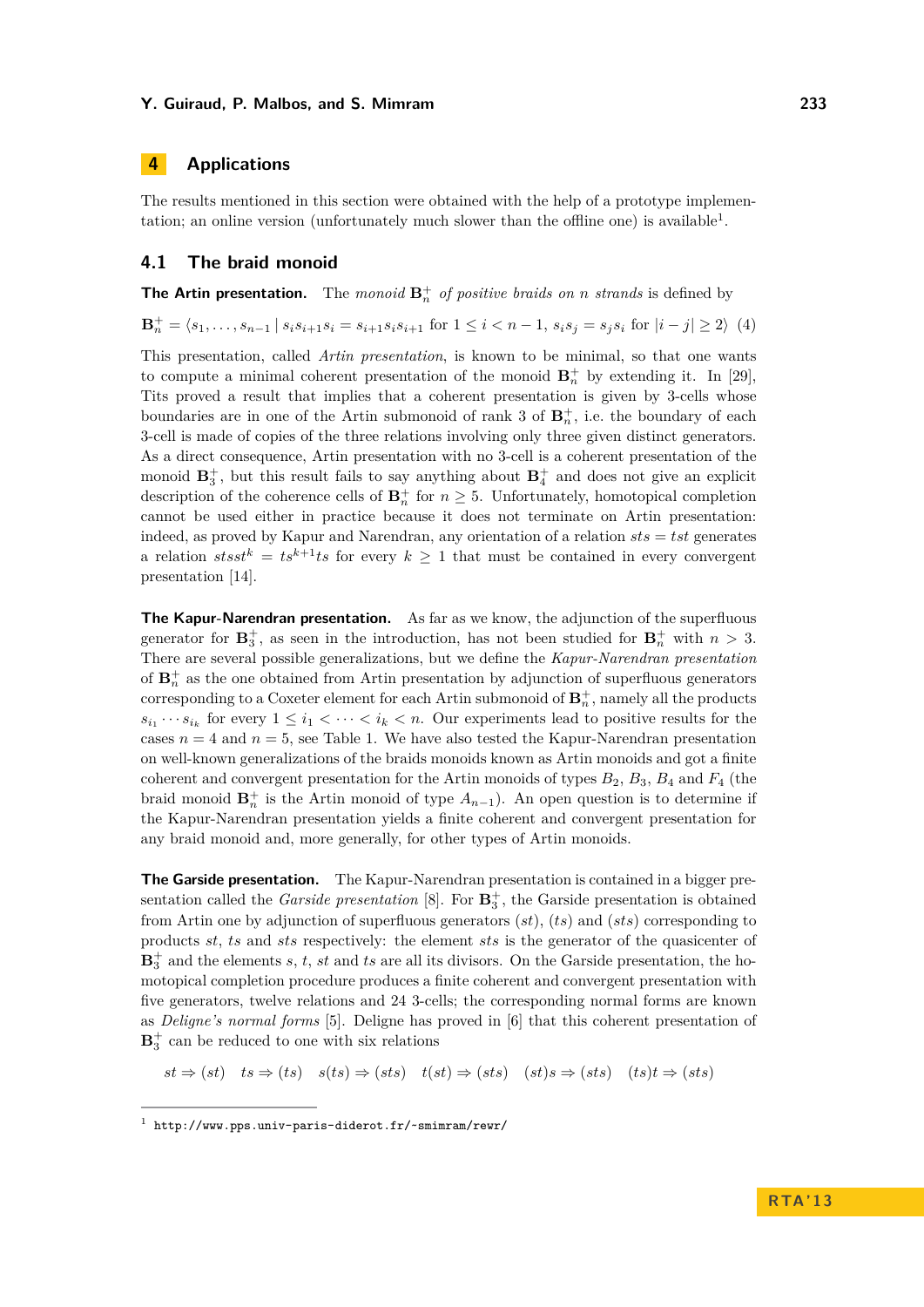# <span id="page-10-0"></span>**4 Applications**

The results mentioned in this section were obtained with the help of a prototype implemen-tation; an online version (unfortunately much slower than the offline one) is available<sup>[1](#page-10-1)</sup>.

# **4.1 The braid monoid**

**The Artin presentation.** The *monoid*  $\mathbf{B}_n^+$  *of positive braids on n strands* is defined by

 $\mathbf{B}_n^+ = \langle s_1, \ldots, s_{n-1} | s_i s_{i+1} s_i = s_{i+1} s_i s_{i+1} \text{ for } 1 \leq i < n-1, s_i s_j = s_j s_i \text{ for } |i-j| \geq 2 \rangle$  (4)

This presentation, called *Artin presentation*, is known to be minimal, so that one wants to compute a minimal coherent presentation of the monoid  $\mathbf{B}_n^+$  by extending it. In [\[29\]](#page-15-11), Tits proved a result that implies that a coherent presentation is given by 3-cells whose boundaries are in one of the Artin submonoid of rank 3 of  $\mathbf{B}_n^+$ , i.e. the boundary of each 3-cell is made of copies of the three relations involving only three given distinct generators. As a direct consequence, Artin presentation with no 3-cell is a coherent presentation of the monoid  $\mathbf{B}_3^+$ , but this result fails to say anything about  $\mathbf{B}_4^+$  and does not give an explicit description of the coherence cells of  $\mathbf{B}_n^+$  for  $n \geq 5$ . Unfortunately, homotopical completion cannot be used either in practice because it does not terminate on Artin presentation: indeed, as proved by Kapur and Narendran, any orientation of a relation *sts* = *tst* generates a relation  $stsst^k = ts^{k+1}ts$  for every  $k \geq 1$  that must be contained in every convergent presentation [\[14\]](#page-15-3).

**The Kapur-Narendran presentation.** As far as we know, the adjunction of the superfluous generator for  $\mathbf{B}_3^+$ , as seen in the introduction, has not been studied for  $\mathbf{B}_n^+$  with  $n > 3$ . There are several possible generalizations, but we define the *Kapur-Narendran presentation* of  $\mathbf{B}_n^+$  as the one obtained from Artin presentation by adjunction of superfluous generators corresponding to a Coxeter element for each Artin submonoid of  $\mathbf{B}_n^+$ , namely all the products  $s_{i_1} \cdots s_{i_k}$  for every  $1 \leq i_1 < \cdots < i_k < n$ . Our experiments lead to positive results for the cases  $n = 4$  and  $n = 5$ , see Table [1.](#page-11-0) We have also tested the Kapur-Narendran presentation on well-known generalizations of the braids monoids known as Artin monoids and got a finite coherent and convergent presentation for the Artin monoids of types  $B_2$ ,  $B_3$ ,  $B_4$  and  $F_4$  (the braid monoid  $\mathbf{B}_n^+$  is the Artin monoid of type  $A_{n-1}$ ). An open question is to determine if the Kapur-Narendran presentation yields a finite coherent and convergent presentation for any braid monoid and, more generally, for other types of Artin monoids.

**The Garside presentation.** The Kapur-Narendran presentation is contained in a bigger presentation called the *Garside presentation* [\[8\]](#page-14-6). For  $\mathbf{B}_3^+$ , the Garside presentation is obtained from Artin one by adjunction of superfluous generators (*st*), (*ts*) and (*sts*) corresponding to products *st*, *ts* and *sts* respectively: the element *sts* is the generator of the quasicenter of  $\mathbf{B}_3^+$  and the elements *s*, *t*, *st* and *ts* are all its divisors. On the Garside presentation, the homotopical completion procedure produces a finite coherent and convergent presentation with five generators, twelve relations and 24 3-cells; the corresponding normal forms are known as *Deligne's normal forms* [\[5\]](#page-14-7). Deligne has proved in [\[6\]](#page-14-8) that this coherent presentation of  $\mathbf{B}_3^+$  can be reduced to one with six relations

 $st \Rightarrow (st)$   $ts \Rightarrow (ts)$   $s(ts) \Rightarrow (sts)$   $t(st) \Rightarrow (sts)$   $(st) \Rightarrow (sts)$   $(st) \Rightarrow (sts)$ 

<span id="page-10-1"></span><sup>1</sup> <http://www.pps.univ-paris-diderot.fr/~smimram/rewr/>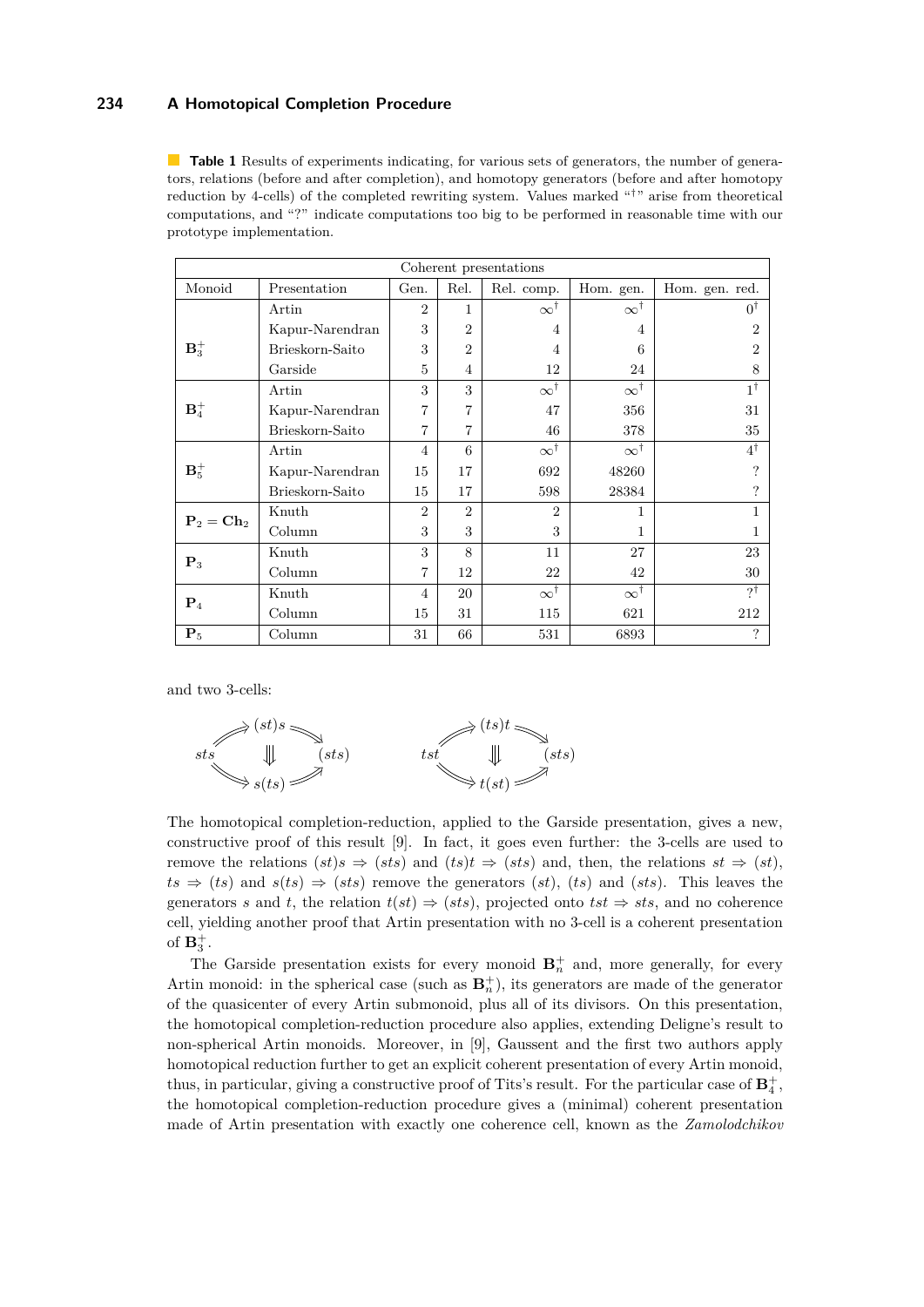<span id="page-11-0"></span>**Table 1** Results of experiments indicating, for various sets of generators, the number of generators, relations (before and after completion), and homotopy generators (before and after homotopy reduction by 4-cells) of the completed rewriting system. Values marked "<sup>†</sup>" arise from theoretical computations, and "?" indicate computations too big to be performed in reasonable time with our prototype implementation.

| Coherent presentations |                 |                |                |                    |                    |                             |
|------------------------|-----------------|----------------|----------------|--------------------|--------------------|-----------------------------|
| Monoid                 | Presentation    | Gen.           | Rel.           | Rel. comp.         | Hom. gen.          | Hom. gen. red.              |
|                        | Artin           | $\overline{2}$ | $\mathbf{1}$   | $\infty^{\dagger}$ | $\infty^{\dagger}$ | $0^{\dagger}$               |
|                        | Kapur-Narendran | 3              | $\overline{2}$ | 4                  | $\overline{4}$     | $\mathcal{D}_{\mathcal{L}}$ |
| $B_3^+$                | Brieskorn-Saito | 3              | $\overline{2}$ | 4                  | 6                  | $\mathcal{D}_{\mathcal{L}}$ |
|                        | Garside         | 5              | 4              | 12                 | 24                 | 8                           |
|                        | Artin           | 3              | 3              | $\infty^{\dagger}$ | $\infty^{\dagger}$ | $1^{\dagger}$               |
| $\mathbf{B}_4^+$       | Kapur-Narendran | 7              | 7              | 47                 | 356                | 31                          |
|                        | Brieskorn-Saito | 7              | 7              | 46                 | 378                | 35                          |
| $B_5^+$                | Artin           | $\overline{4}$ | 6              | $\infty^{\dagger}$ | $\infty^{\dagger}$ | $4^{\dagger}$               |
|                        | Kapur-Narendran | 15             | 17             | 692                | 48260              | ?                           |
|                        | Brieskorn-Saito | 15             | 17             | 598                | 28384              |                             |
| $P_2 = Ch_2$           | Knuth           | $\overline{2}$ | $\overline{2}$ | $\overline{2}$     | 1                  |                             |
|                        | Column          | 3              | 3              | 3                  | 1                  |                             |
| $\mathbf{P}_3$         | Knuth           | 3              | 8              | 11                 | 27                 | 23                          |
|                        | Column          | $\overline{7}$ | 12             | 22                 | 42                 | 30                          |
| $P_4$                  | Knuth           | 4              | 20             | $\infty^{\dagger}$ | $\infty^{\dagger}$ | ?ţ                          |
|                        | Column          | 15             | 31             | 115                | 621                | 212                         |
| $\mathbf{P}_5$         | Column          | 31             | 66             | 531                | 6893               | ?                           |

and two 3-cells:



The homotopical completion-reduction, applied to the Garside presentation, gives a new, constructive proof of this result [\[9\]](#page-14-1). In fact, it goes even further: the 3-cells are used to remove the relations  $(st)s \Rightarrow (sts)$  and  $(ts)t \Rightarrow (sts)$  and, then, the relations  $st \Rightarrow (st)$ ,  $ts \Rightarrow (ts)$  and  $s(ts) \Rightarrow (sts)$  remove the generators  $(st)$ ,  $(ts)$  and  $(sts)$ . This leaves the generators *s* and *t*, the relation  $t(st) \Rightarrow (sts)$ , projected onto  $tst \Rightarrow sts$ , and no coherence cell, yielding another proof that Artin presentation with no 3-cell is a coherent presentation of  $\mathbf{B}_3^+$ .

The Garside presentation exists for every monoid  $\mathbf{B}_n^+$  and, more generally, for every Artin monoid: in the spherical case (such as  $\mathbf{B}_n^+$ ), its generators are made of the generator of the quasicenter of every Artin submonoid, plus all of its divisors. On this presentation, the homotopical completion-reduction procedure also applies, extending Deligne's result to non-spherical Artin monoids. Moreover, in [\[9\]](#page-14-1), Gaussent and the first two authors apply homotopical reduction further to get an explicit coherent presentation of every Artin monoid, thus, in particular, giving a constructive proof of Tits's result. For the particular case of  $\mathbf{B}_4^+$ , the homotopical completion-reduction procedure gives a (minimal) coherent presentation made of Artin presentation with exactly one coherence cell, known as the *Zamolodchikov*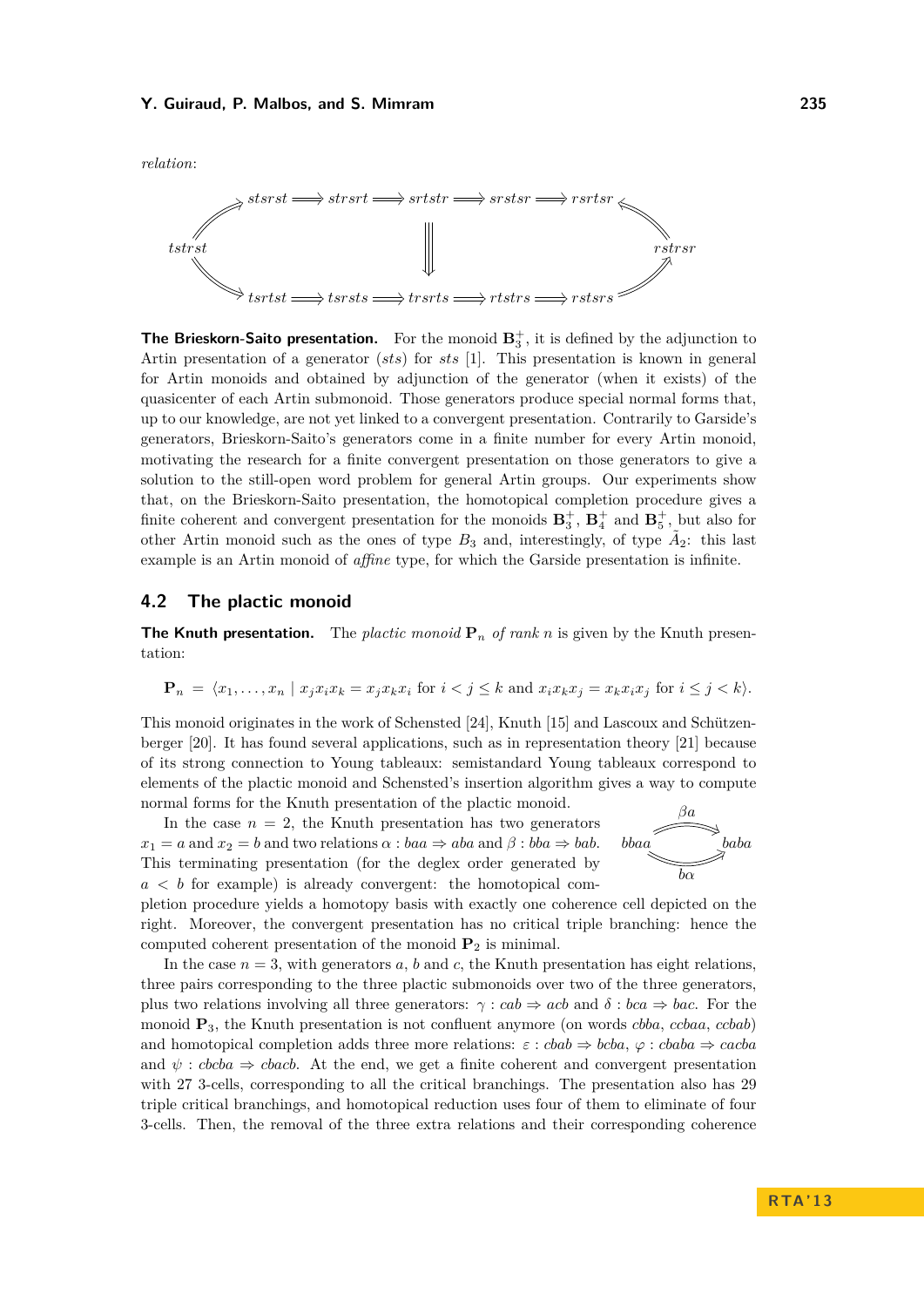*relation*:



**The Brieskorn-Saito presentation.** For the monoid  $\mathbf{B}_3^+$ , it is defined by the adjunction to Artin presentation of a generator (*sts*) for *sts* [\[1\]](#page-14-9). This presentation is known in general for Artin monoids and obtained by adjunction of the generator (when it exists) of the quasicenter of each Artin submonoid. Those generators produce special normal forms that, up to our knowledge, are not yet linked to a convergent presentation. Contrarily to Garside's generators, Brieskorn-Saito's generators come in a finite number for every Artin monoid, motivating the research for a finite convergent presentation on those generators to give a solution to the still-open word problem for general Artin groups. Our experiments show that, on the Brieskorn-Saito presentation, the homotopical completion procedure gives a finite coherent and convergent presentation for the monoids  $\mathbf{B}_3^+$ ,  $\mathbf{B}_4^+$  and  $\mathbf{B}_5^+$ , but also for other Artin monoid such as the ones of type  $B_3$  and, interestingly, of type  $\tilde{A}_2$ : this last example is an Artin monoid of *affine* type, for which the Garside presentation is infinite.

# **4.2 The plactic monoid**

**The Knuth presentation.** The *plactic monoid*  $P_n$  *of rank n* is given by the Knuth presentation:

$$
\mathbf{P}_n = \langle x_1, \dots, x_n \mid x_j x_i x_k = x_j x_k x_i \text{ for } i < j \le k \text{ and } x_i x_k x_j = x_k x_i x_j \text{ for } i \le j < k \rangle.
$$

This monoid originates in the work of Schensted [\[24\]](#page-15-14), Knuth [\[15\]](#page-15-15) and Lascoux and Schützenberger [\[20\]](#page-15-16). It has found several applications, such as in representation theory [\[21\]](#page-15-12) because of its strong connection to Young tableaux: semistandard Young tableaux correspond to elements of the plactic monoid and Schensted's insertion algorithm gives a way to compute normal forms for the Knuth presentation of the plactic monoid.

In the case  $n = 2$ , the Knuth presentation has two generators  $x_1 = a$  and  $x_2 = b$  and two relations  $\alpha : baa \Rightarrow aba$  and  $\beta : bba \Rightarrow bab$ . This terminating presentation (for the deglex order generated by  $a < b$  for example) is already convergent: the homotopical com-



pletion procedure yields a homotopy basis with exactly one coherence cell depicted on the right. Moreover, the convergent presentation has no critical triple branching: hence the computed coherent presentation of the monoid  $P_2$  is minimal.

In the case  $n = 3$ , with generators  $a, b$  and  $c$ , the Knuth presentation has eight relations, three pairs corresponding to the three plactic submonoids over two of the three generators, plus two relations involving all three generators:  $\gamma : cab \Rightarrow acb$  and  $\delta : bca \Rightarrow bac$ . For the monoid **P**3, the Knuth presentation is not confluent anymore (on words *cbba*, *ccbaa*, *ccbab*) and homotopical completion adds three more relations:  $\varepsilon : c \circ b \circ b \Rightarrow b \circ b \circ a$ ,  $\varphi : c \circ b \circ a \Rightarrow c \circ a \circ b$ and  $\psi$ : *cbcba*  $\Rightarrow$  *cbacb*. At the end, we get a finite coherent and convergent presentation with 27 3-cells, corresponding to all the critical branchings. The presentation also has 29 triple critical branchings, and homotopical reduction uses four of them to eliminate of four 3-cells. Then, the removal of the three extra relations and their corresponding coherence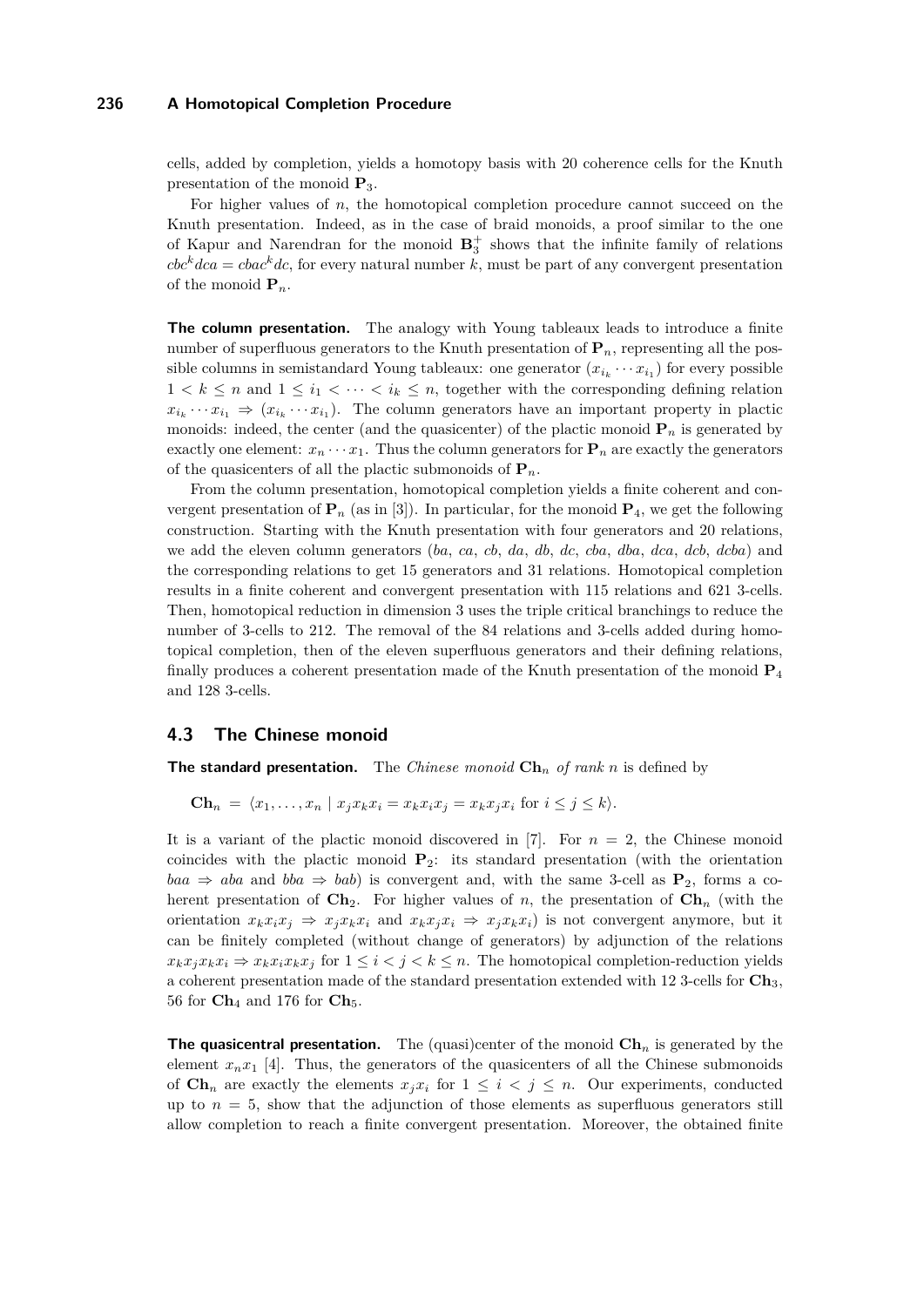cells, added by completion, yields a homotopy basis with 20 coherence cells for the Knuth presentation of the monoid **P**3.

For higher values of *n*, the homotopical completion procedure cannot succeed on the Knuth presentation. Indeed, as in the case of braid monoids, a proof similar to the one of Kapur and Narendran for the monoid  $B_3^+$  shows that the infinite family of relations  $\int c \, dr \, d\alpha = \int c \, d\alpha \, d\alpha$ , for every natural number *k*, must be part of any convergent presentation of the monoid  $P_n$ .

**The column presentation.** The analogy with Young tableaux leads to introduce a finite number of superfluous generators to the Knuth presentation of **P***n*, representing all the possible columns in semistandard Young tableaux: one generator  $(x_{i_k} \cdots x_{i_1})$  for every possible  $1 < k \leq n$  and  $1 \leq i_1 < \cdots < i_k \leq n$ , together with the corresponding defining relation  $x_{i_k} \cdots x_{i_1} \Rightarrow (x_{i_k} \cdots x_{i_1})$ . The column generators have an important property in plactic monoids: indeed, the center (and the quasicenter) of the plactic monoid  $P_n$  is generated by exactly one element:  $x_n \cdots x_1$ . Thus the column generators for  $P_n$  are exactly the generators of the quasicenters of all the plactic submonoids of  $P_n$ .

From the column presentation, homotopical completion yields a finite coherent and convergent presentation of  $P_n$  (as in [\[3\]](#page-14-10)). In particular, for the monoid  $P_4$ , we get the following construction. Starting with the Knuth presentation with four generators and 20 relations, we add the eleven column generators (*ba*, *ca*, *cb*, *da*, *db*, *dc*, *cba*, *dba*, *dca*, *dcb*, *dcba*) and the corresponding relations to get 15 generators and 31 relations. Homotopical completion results in a finite coherent and convergent presentation with 115 relations and 621 3-cells. Then, homotopical reduction in dimension 3 uses the triple critical branchings to reduce the number of 3-cells to 212. The removal of the 84 relations and 3-cells added during homotopical completion, then of the eleven superfluous generators and their defining relations, finally produces a coherent presentation made of the Knuth presentation of the monoid **P**<sup>4</sup> and 128 3-cells.

#### <span id="page-13-0"></span>**4.3 The Chinese monoid**

**The standard presentation.** The *Chinese monoid* **Ch***<sup>n</sup> of rank n* is defined by

$$
\mathbf{Ch}_n = \langle x_1, \dots, x_n \mid x_j x_k x_i = x_k x_i x_j = x_k x_j x_i \text{ for } i \leq j \leq k \rangle.
$$

It is a variant of the plactic monoid discovered in [\[7\]](#page-14-11). For  $n = 2$ , the Chinese monoid coincides with the plactic monoid **P**2: its standard presentation (with the orientation  $baa \Rightarrow aba$  and  $bba \Rightarrow bab)$  is convergent and, with the same 3-cell as  $\mathbf{P}_2$ , forms a coherent presentation of  $\mathbf{Ch}_2$ . For higher values of *n*, the presentation of  $\mathbf{Ch}_n$  (with the orientation  $x_k x_i x_j \Rightarrow x_j x_k x_i$  and  $x_k x_j x_i \Rightarrow x_j x_k x_i$  is not convergent anymore, but it can be finitely completed (without change of generators) by adjunction of the relations  $x_k x_j x_k x_i \Rightarrow x_k x_i x_k x_j$  for  $1 \leq i < j < k \leq n$ . The homotopical completion-reduction yields a coherent presentation made of the standard presentation extended with 12 3-cells for **Ch**3, 56 for **Ch**<sup>4</sup> and 176 for **Ch**5.

**The quasicentral presentation.** The (quasi)center of the monoid  $\mathbf{Ch}_n$  is generated by the element  $x_n x_1$  [\[4\]](#page-14-12). Thus, the generators of the quasicenters of all the Chinese submonoids of  $\mathbf{Ch}_n$  are exactly the elements  $x_i x_i$  for  $1 \leq i \leq j \leq n$ . Our experiments, conducted up to  $n = 5$ , show that the adjunction of those elements as superfluous generators still allow completion to reach a finite convergent presentation. Moreover, the obtained finite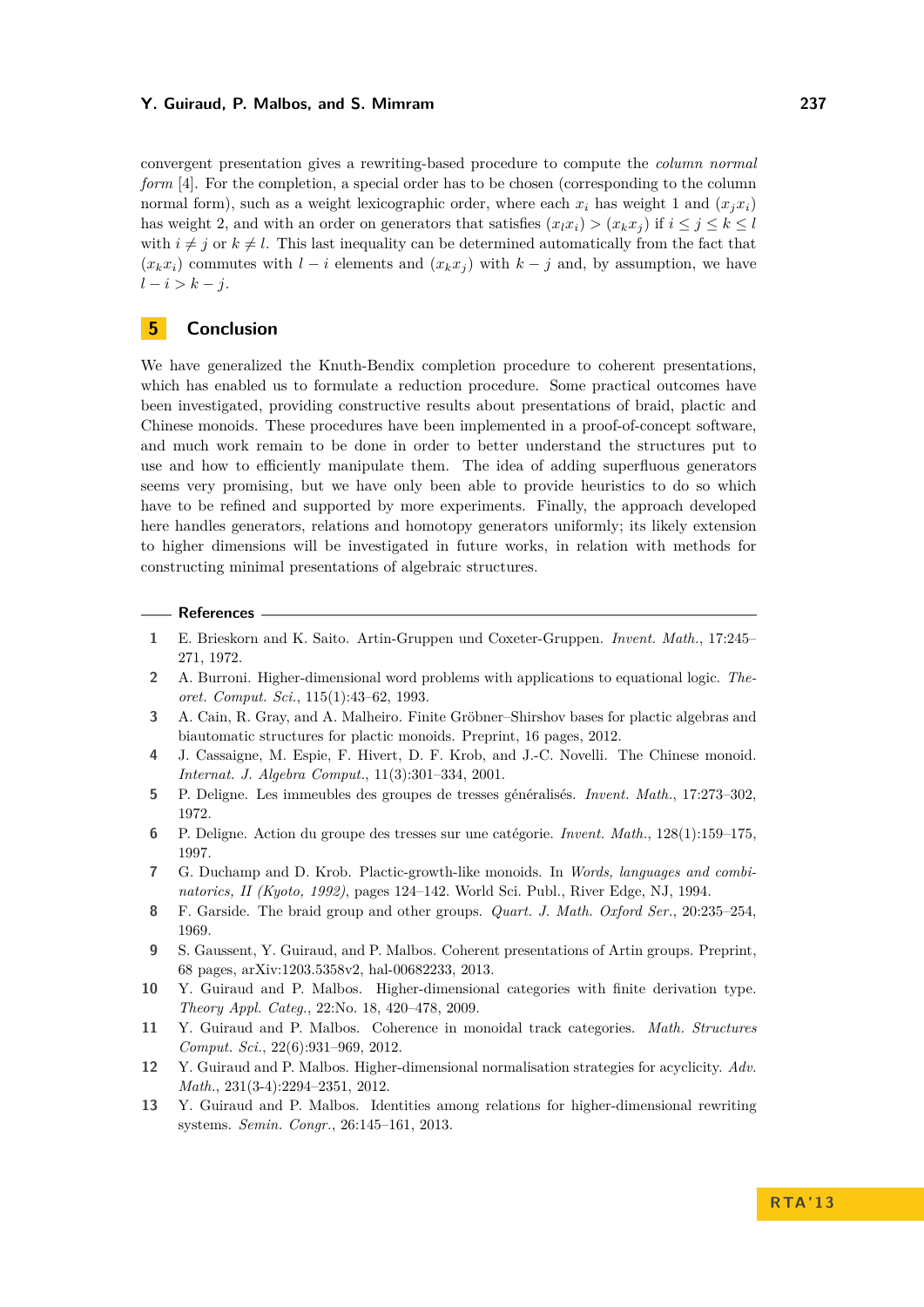convergent presentation gives a rewriting-based procedure to compute the *column normal form* [\[4\]](#page-14-12). For the completion, a special order has to be chosen (corresponding to the column normal form), such as a weight lexicographic order, where each  $x_i$  has weight 1 and  $(x_i x_i)$ has weight 2, and with an order on generators that satisfies  $(x_l x_i) > (x_k x_j)$  if  $i \leq j \leq k \leq l$ with  $i \neq j$  or  $k \neq l$ . This last inequality can be determined automatically from the fact that  $(x_k x_i)$  commutes with  $l - i$  elements and  $(x_k x_j)$  with  $k - j$  and, by assumption, we have *l* − *i > k* − *j*.

# **5 Conclusion**

We have generalized the Knuth-Bendix completion procedure to coherent presentations, which has enabled us to formulate a reduction procedure. Some practical outcomes have been investigated, providing constructive results about presentations of braid, plactic and Chinese monoids. These procedures have been implemented in a proof-of-concept software, and much work remain to be done in order to better understand the structures put to use and how to efficiently manipulate them. The idea of adding superfluous generators seems very promising, but we have only been able to provide heuristics to do so which have to be refined and supported by more experiments. Finally, the approach developed here handles generators, relations and homotopy generators uniformly; its likely extension to higher dimensions will be investigated in future works, in relation with methods for constructing minimal presentations of algebraic structures.

#### **References**

- <span id="page-14-9"></span>**1** E. Brieskorn and K. Saito. Artin-Gruppen und Coxeter-Gruppen. *Invent. Math.*, 17:245– 271, 1972.
- <span id="page-14-5"></span>**2** A. Burroni. Higher-dimensional word problems with applications to equational logic. *Theoret. Comput. Sci.*, 115(1):43–62, 1993.
- <span id="page-14-10"></span>**3** A. Cain, R. Gray, and A. Malheiro. Finite Gröbner–Shirshov bases for plactic algebras and biautomatic structures for plactic monoids. Preprint, 16 pages, 2012.
- <span id="page-14-12"></span>**4** J. Cassaigne, M. Espie, F. Hivert, D. F. Krob, and J.-C. Novelli. The Chinese monoid. *Internat. J. Algebra Comput.*, 11(3):301–334, 2001.
- <span id="page-14-7"></span>**5** P. Deligne. Les immeubles des groupes de tresses généralisés. *Invent. Math.*, 17:273–302, 1972.
- <span id="page-14-8"></span>**6** P. Deligne. Action du groupe des tresses sur une catégorie. *Invent. Math.*, 128(1):159–175, 1997.
- <span id="page-14-11"></span>**7** G. Duchamp and D. Krob. Plactic-growth-like monoids. In *Words, languages and combinatorics, II (Kyoto, 1992)*, pages 124–142. World Sci. Publ., River Edge, NJ, 1994.
- <span id="page-14-6"></span>**8** F. Garside. The braid group and other groups. *Quart. J. Math. Oxford Ser.*, 20:235–254, 1969.
- <span id="page-14-1"></span>**9** S. Gaussent, Y. Guiraud, and P. Malbos. Coherent presentations of Artin groups. Preprint, 68 pages, arXiv:1203.5358v2, hal-00682233, 2013.
- <span id="page-14-2"></span>**10** Y. Guiraud and P. Malbos. Higher-dimensional categories with finite derivation type. *Theory Appl. Categ.*, 22:No. 18, 420–478, 2009.
- <span id="page-14-3"></span>**11** Y. Guiraud and P. Malbos. Coherence in monoidal track categories. *Math. Structures Comput. Sci.*, 22(6):931–969, 2012.
- <span id="page-14-0"></span>**12** Y. Guiraud and P. Malbos. Higher-dimensional normalisation strategies for acyclicity. *Adv. Math.*, 231(3-4):2294–2351, 2012.
- <span id="page-14-4"></span>**13** Y. Guiraud and P. Malbos. Identities among relations for higher-dimensional rewriting systems. *Semin. Congr.*, 26:145–161, 2013.